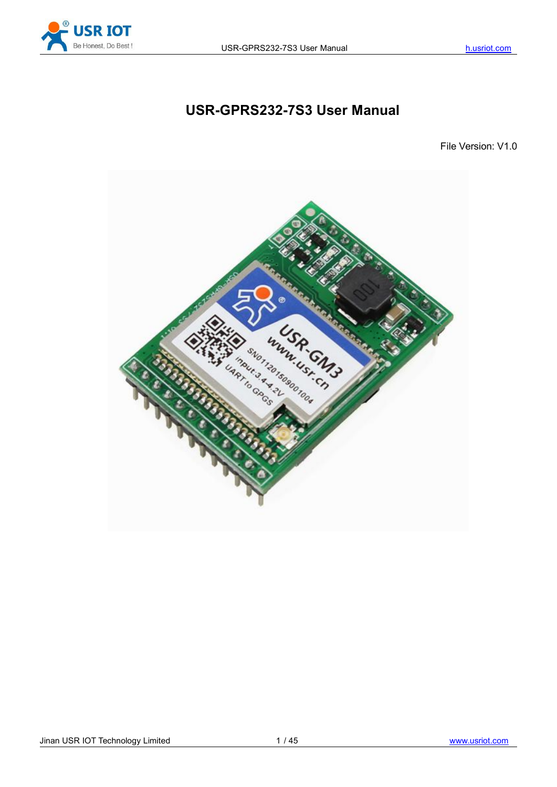

# **USR-GPRS232-7S3 User Manual**

File Version: V1.0

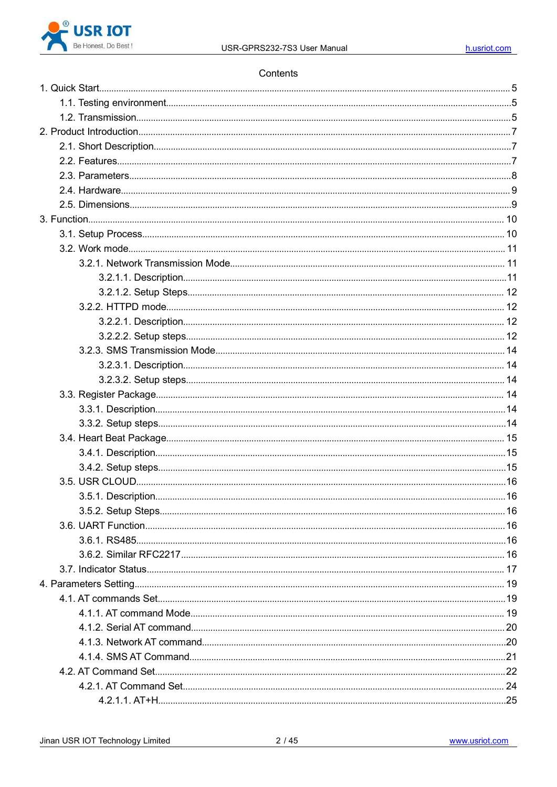

#### Contents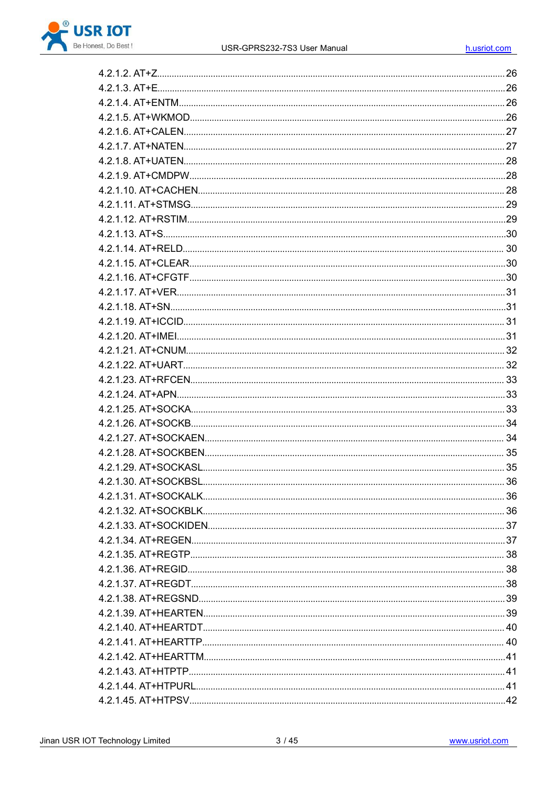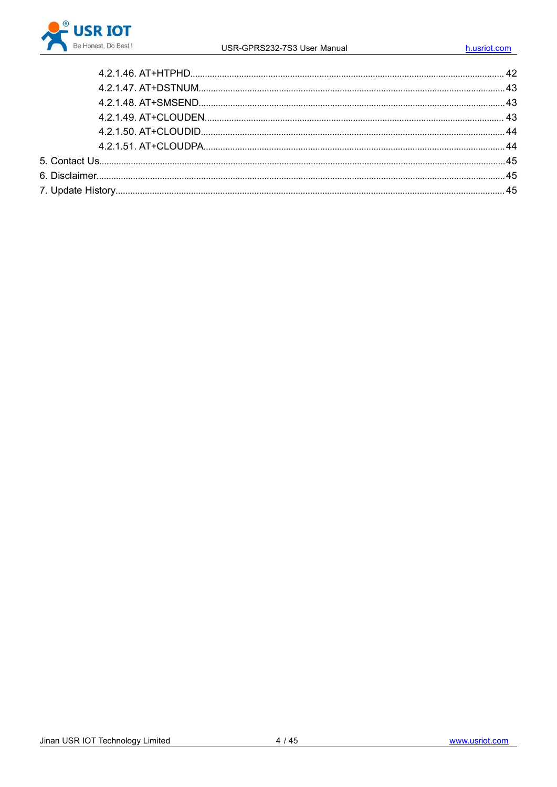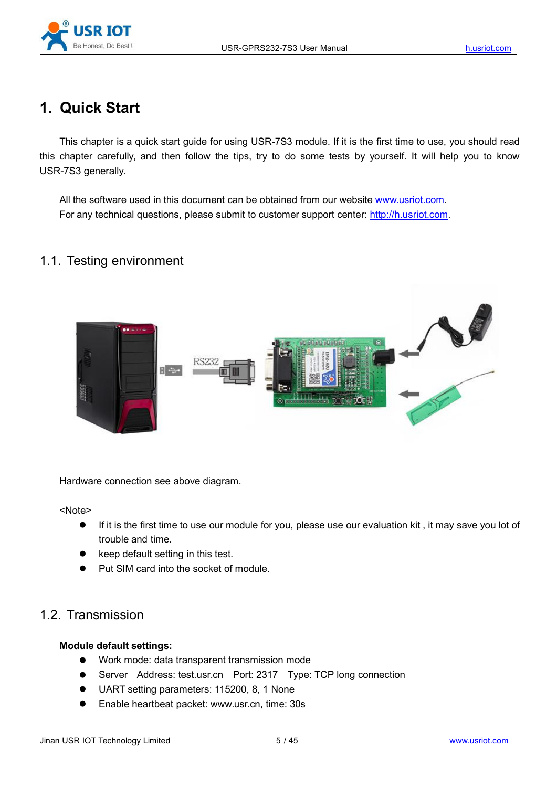

# **1. Quick Start**

This chapter is a quick start guide for using USR-7S3 module. If it is the first time to use, you should read this chapter carefully, and then follow the tips, try to do some tests by yourself. It will help you to know USR-7S3 generally.

All the software used in this document can be obtained from our website [www.usriot.com.](http://www.usriot.com/) For any technical questions, please submit to customer support center: <http://h.usriot.com>.

## 1.1. Testing environment



Hardware connection see above diagram.

<Note>

- If it is the first time to use our module for you, please use our evaluation kit , it may save you lot of trouble and time.
- **•** keep default setting in this test.
- Put SIM card into the socket of module.

## 1.2. Transmission

#### **Module default settings:**

- Work mode: data transparent transmission mode
- Server Address: test.usr.cn Port: 2317 Type: TCP long connection
- UART setting parameters: 115200, 8, 1 None
- Enable heartbeat packet: [www.usr.cn,](http://www.usr.cn,) time: 30s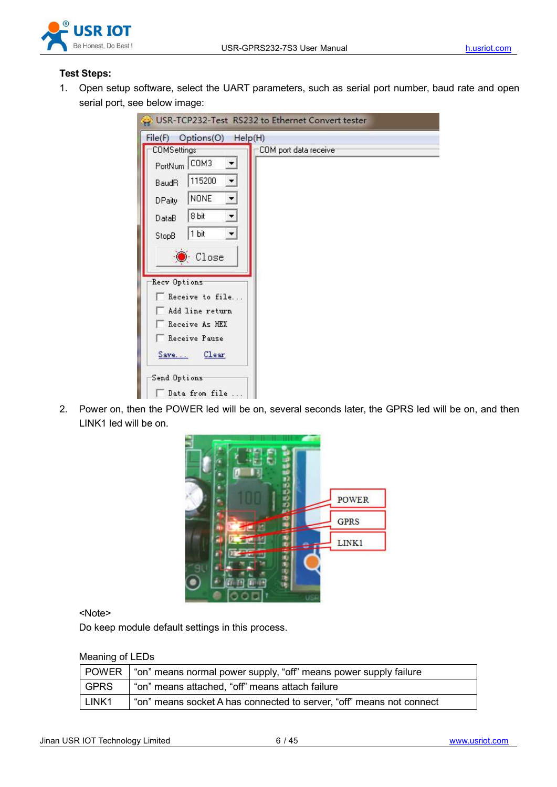

#### **Test Steps:**

1. Open setup software, select the UART parameters, such as serial port number, baud rate and open serial port, see below image:

| COMSettings                              | COM port data receive |
|------------------------------------------|-----------------------|
| PortNum COM3<br>$\overline{\phantom{a}}$ |                       |
| 115200<br>$\overline{ }$<br><b>BaudR</b> |                       |
| <b>NONE</b><br>÷,<br><b>DPaity</b>       |                       |
| 8 bit<br>▼<br>DataB                      |                       |
| 1 bit<br>$\blacktriangledown$<br>StopB   |                       |
|                                          |                       |
| Close                                    |                       |
| Recv Options                             |                       |
| Receive to file                          |                       |
| Add line return                          |                       |
| Receive As HEX                           |                       |
| Receive Pause                            |                       |
| Save Clear                               |                       |
|                                          |                       |

2. Power on, then the POWER led will be on, several seconds later, the GPRS led will be on, and then LINK1 led will be on.



<Note>

Do keep module default settings in this process.

#### Meaning of LEDs

|                   | POWER   "on" means normal power supply, "off" means power supply failure |
|-------------------|--------------------------------------------------------------------------|
| <b>GPRS</b>       | "on" means attached, "off" means attach failure                          |
| LINK <sub>1</sub> | "on" means socket A has connected to server, "off" means not connect     |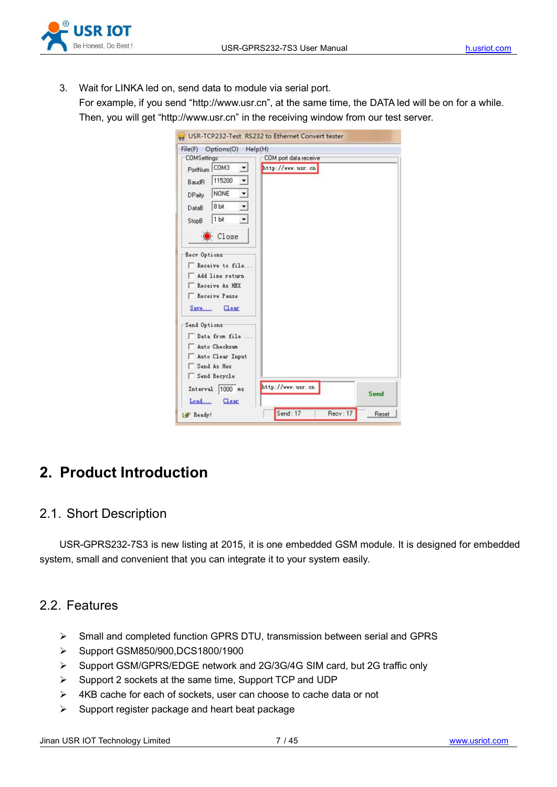

3. Wait for LINKA led on, send data to module via serial port. For example, if you send "http://www.usr.cn", at the same time, the DATA led will be on for a while. Then, you will get "http://www.usr.cn" in the receiving window from our test server.

| Options(O)<br>File(F)           | Help(H)               |      |
|---------------------------------|-----------------------|------|
| <b>COMSettings</b>              | COM port data receive |      |
| PortNum COM3<br>회               | http://www.usr.cn     |      |
| 115200<br>໋<br>BaudR            |                       |      |
| ⊻<br><b>NONE</b><br>DPaity      |                       |      |
| ×<br>8 bit<br>DataB             |                       |      |
| $\pmb{\cdot}$<br>1 bit<br>StopB |                       |      |
| Close                           |                       |      |
| Recv Options                    |                       |      |
| Receive to file                 |                       |      |
| Add line return                 |                       |      |
| Receive As HEX                  |                       |      |
| Receive Pause                   |                       |      |
| Save Clear                      |                       |      |
| Send Options                    |                       |      |
| Data from file                  |                       |      |
| Auto Checksum                   |                       |      |
| Auto Clear Input                |                       |      |
| Send As Hex                     |                       |      |
| Send Recycle                    |                       |      |
| Interval  1000 ms               | http://www.usr.cn     |      |
|                                 |                       | Send |
| Clear<br>Load                   |                       |      |

# **2. Product Introduction**

## 2.1. Short Description

USR-GPRS232-7S3 is new listing at 2015, it is one embedded GSM module. It is designed for embedded system, small and convenient that you can integrate it to your system easily.

## 2.2. Features

- Small and completed function GPRS DTU, transmission between serial and GPRS
- Support GSM850/900,DCS1800/1900
- Support GSM/GPRS/EDGE network and 2G/3G/4G SIM card, but 2G traffic only
- $\triangleright$  Support 2 sockets at the same time, Support TCP and UDP
- $\triangleright$  4KB cache for each of sockets, user can choose to cache data or not
- $\triangleright$  Support register package and heart beat package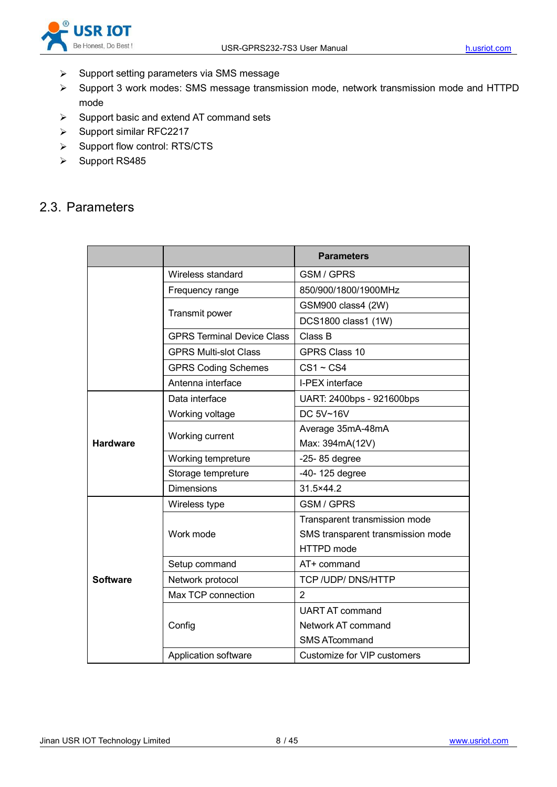

- $\triangleright$  Support setting parameters via SMS message
- Support 3 work modes: SMS message transmission mode, network transmission mode and HTTPD mode
- $\triangleright$  Support basic and extend AT command sets
- $\triangleright$  Support similar RFC2217
- > Support flow control: RTS/CTS
- ▶ Support RS485

## 2.3. Parameters

|                 |                                   | <b>Parameters</b>                 |
|-----------------|-----------------------------------|-----------------------------------|
|                 | Wireless standard                 | <b>GSM/GPRS</b>                   |
|                 | Frequency range                   | 850/900/1800/1900MHz              |
|                 |                                   | GSM900 class4 (2W)                |
|                 | Transmit power                    | DCS1800 class1 (1W)               |
|                 | <b>GPRS Terminal Device Class</b> | Class B                           |
|                 | <b>GPRS Multi-slot Class</b>      | <b>GPRS Class 10</b>              |
|                 | <b>GPRS Coding Schemes</b>        | $CS1 - CS4$                       |
|                 | Antenna interface                 | I-PEX interface                   |
|                 | Data interface                    | UART: 2400bps - 921600bps         |
|                 | Working voltage                   | DC 5V~16V                         |
|                 | Working current                   | Average 35mA-48mA                 |
| <b>Hardware</b> |                                   | Max: 394mA(12V)                   |
|                 | Working tempreture                | $-25-85$ degree                   |
|                 | Storage tempreture                | -40-125 degree                    |
|                 | <b>Dimensions</b>                 | 31.5×44.2                         |
|                 | Wireless type                     | <b>GSM/GPRS</b>                   |
|                 |                                   | Transparent transmission mode     |
|                 | Work mode                         | SMS transparent transmission mode |
|                 |                                   | HTTPD mode                        |
|                 | Setup command                     | AT+ command                       |
| <b>Software</b> | Network protocol                  | TCP / UDP/ DNS/HTTP               |
|                 | Max TCP connection                | $\overline{2}$                    |
|                 |                                   | <b>UART AT command</b>            |
|                 | Config                            | Network AT command                |
|                 |                                   | <b>SMS ATcommand</b>              |
|                 | Application software              | Customize for VIP customers       |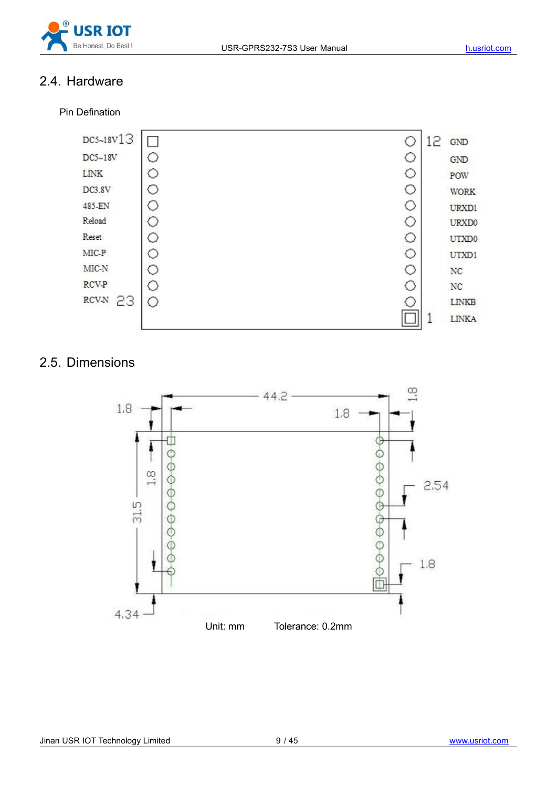

## 2.4. Hardware

Pin Defination



## 2.5. Dimensions

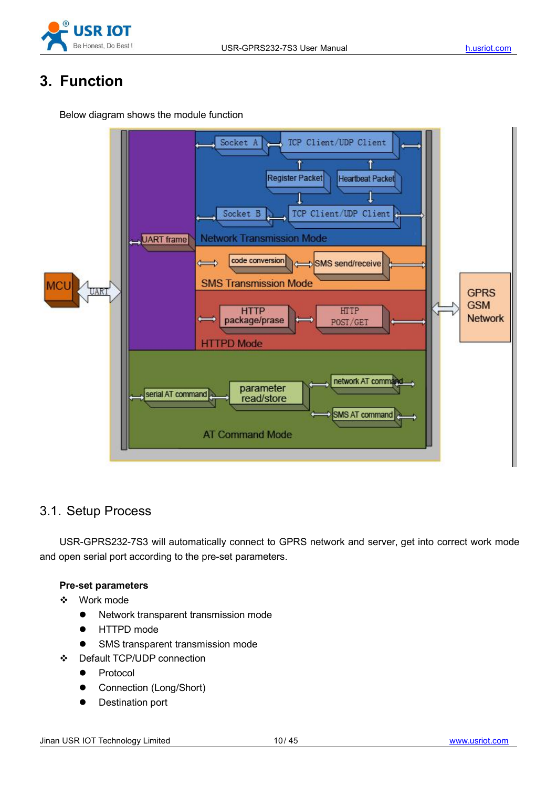

# **3. Function**

Below diagram shows the module function



## 3.1. Setup Process

USR-GPRS232-7S3 will automatically connect to GPRS network and server, get into correct work mode and open serial port according to the pre-set parameters.

#### **Pre-set parameters**

- Work mode
	- Network transparent transmission mode
	- **•** HTTPD mode
	- **SMS transparent transmission mode**
- Default TCP/UDP connection
	- Protocol
	- **•** Connection (Long/Short)
	- **•** Destination port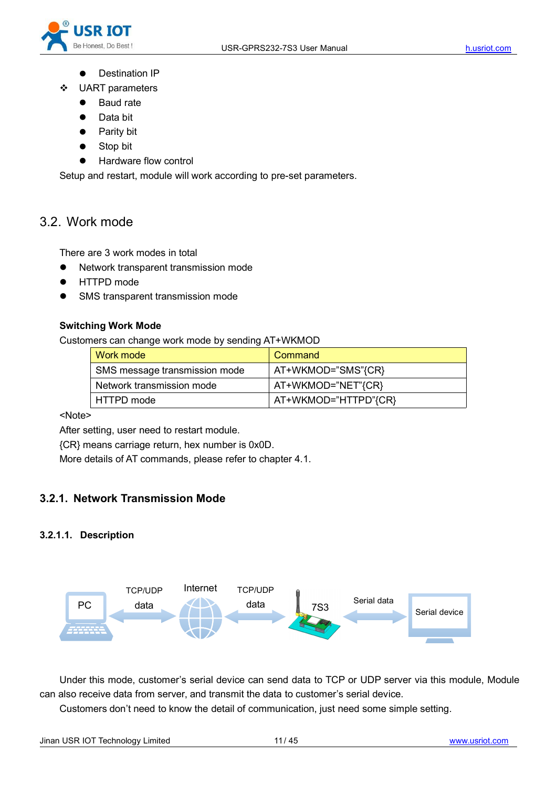

- **•** Destination IP
- UART parameters
	- Baud rate
	- Data bit
	- Parity bit
	- Stop bit
	- Hardware flow control

Setup and restart, module will work according to pre-set parameters.

## 3.2. Work mode

There are 3 work modes in total

- Network transparent transmission mode
- HTTPD mode
- SMS transparent transmission mode

#### **Switching Work Mode**

Customers can change work mode by sending AT+WKMOD

| l Work mode                   | Command              |
|-------------------------------|----------------------|
| SMS message transmission mode | AT+WKMOD="SMS"{CR}   |
| Network transmission mode     | AT+WKMOD="NET"{CR}_  |
| l HTTPD mode                  | AT+WKMOD="HTTPD"{CR} |

#### <Note>

After setting, user need to restart module.

{CR} means carriage return, hex number is 0x0D.

More details of AT commands, please refer to chapter 4.1.

#### **3.2.1. Network Transmission Mode**

#### **3.2.1.1. Description**



Under this mode, customer's serial device can send data to TCP or UDP server via this module, Module can also receive data from server, and transmit the data to customer's serial device.

Customers don't need to know the detail of communication, just need some simple setting.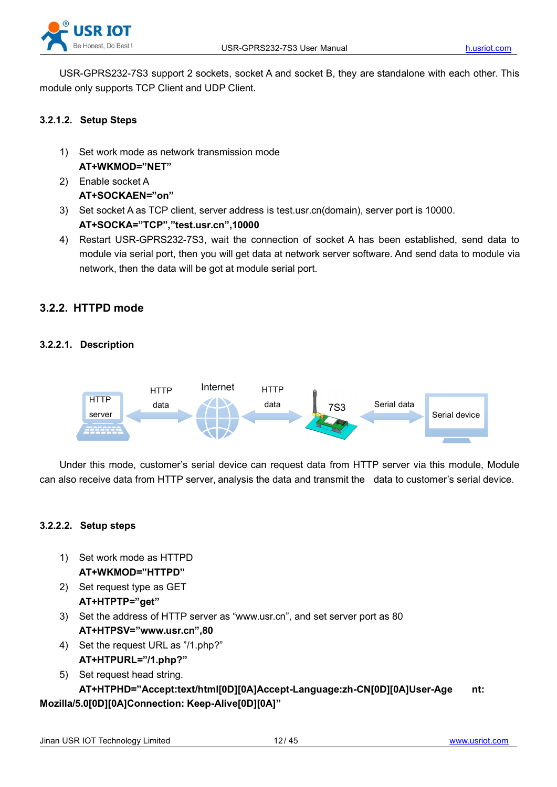

USR-GPRS232-7S3 support 2 sockets, socket A and socket B, they are standalone with each other. This module only supports TCP Client and UDP Client.

#### **3.2.1.2. Setup Steps**

- 1) Set work mode as network transmission mode **AT+WKMOD="NET"**
- 2) Enable socket A **AT+SOCKAEN="on"**
- 3) Set socket A as TCP client, server address is test.usr.cn(domain), server port is 10000. **AT+SOCKA="TCP","test.usr.cn",10000**
- 4) Restart USR-GPRS232-7S3, wait the connection of socket A has been established, send data to module via serial port, then you will get data at network server software. And send data to module via network, then the data will be got at module serial port.

#### **3.2.2. HTTPD mode**

#### **3.2.2.1. Description**



Under this mode, customer's serial device can request data from HTTP server via this module, Module can also receive data from HTTP server, analysis the data and transmit the data to customer's serial device.

#### **3.2.2.2. Setup steps**

- 1) Set work mode as HTTPD **AT+WKMOD="HTTPD"**
- 2) Set request type as GET
- **AT+HTPTP="get"**
- 3) Set the address of HTTP server as "www.usr.cn", and set server port as 80 **AT+HTPSV="www.usr.cn",80**
- 4) Set the request URL as "/1.php?" **AT+HTPURL="/1.php?"**
- 5) Set request head string. **AT+HTPHD="Accept:text/html[0D][0A]Accept-Language:zh-CN[0D][0A]User-Age nt: Mozilla/5.0[0D][0A]Connection: Keep-Alive[0D][0A]"**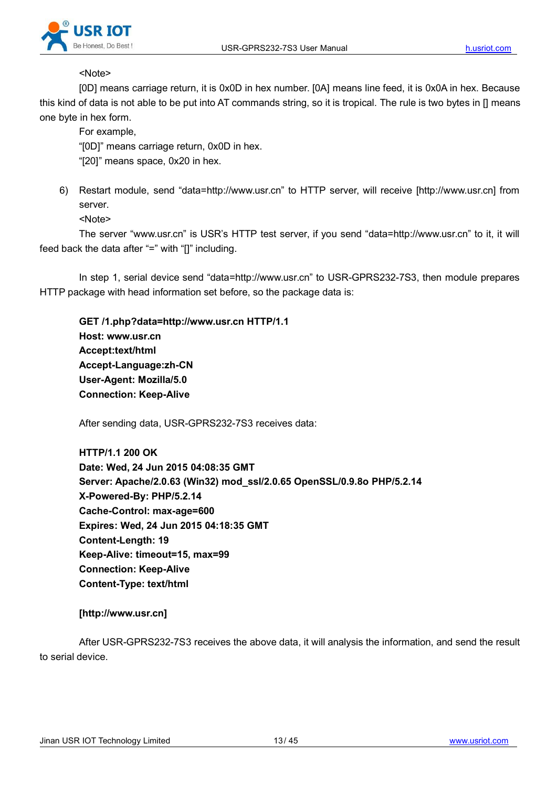

#### <Note>

[0D] means carriage return, it is 0x0D in hex number. [0A] means line feed, it is 0x0A in hex. Because this kind of data is not able to be put into AT commands string, so it is tropical. The rule is two bytes in [] means one byte in hex form.

For example,

"[0D]" means carriage return, 0x0D in hex.

"[20]" means space, 0x20 in hex.

6) Restart module, send "data=http://www.usr.cn" to HTTP server, will receive [http://www.usr.cn] from server.

<Note>

The server "www.usr.cn" is USR's HTTP test server, if you send "data=http://www.usr.cn" to it, it will feed back the data after "=" with "[]" including.

In step 1, serial device send "data=http://www.usr.cn" to USR-GPRS232-7S3, then module prepares HTTP package with head information set before, so the package data is:

**GET /1.php?data=http://www.usr.cn HTTP/1.1 Host: www.usr.cn Accept:text/html Accept-Language:zh-CN User-Agent: Mozilla/5.0 Connection: Keep-Alive**

After sending data, USR-GPRS232-7S3 receives data:

**HTTP/1.1 200 OK Date: Wed, 24 Jun 2015 04:08:35 GMT Server: Apache/2.0.63 (Win32) mod\_ssl/2.0.65 OpenSSL/0.9.8o PHP/5.2.14 X-Powered-By: PHP/5.2.14 Cache-Control: max-age=600 Expires: Wed, 24 Jun 2015 04:18:35 GMT Content-Length: 19 Keep-Alive: timeout=15, max=99 Connection: Keep-Alive Content-Type: text/html**

**[http://www.usr.cn]**

After USR-GPRS232-7S3 receives the above data, it will analysis the information, and send the result to serial device.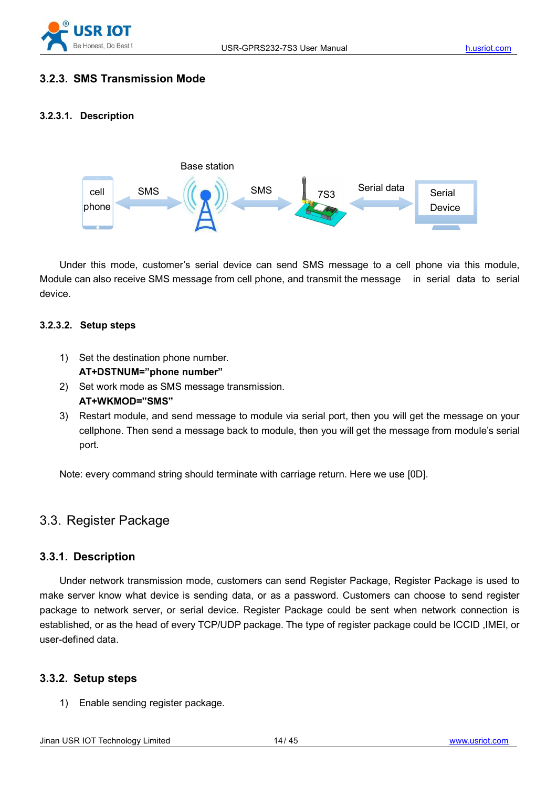

### **3.2.3. SMS Transmission Mode**

#### **3.2.3.1. Description**



Under this mode, customer's serial device can send SMS message to a cell phone via this module, Module can also receive SMS message from cell phone, and transmit the message in serial data to serial device.

#### **3.2.3.2. Setup steps**

- 1) Set the destination phone number. **AT+DSTNUM="phone number"**
- 2) Set work mode as SMS message transmission. **AT+WKMOD="SMS"**
- 3) Restart module, and send message to module via serial port, then you will get the message on your cellphone. Then send a message back to module, then you will get the message from module's serial port.

Note: every command string should terminate with carriage return. Here we use [0D].

## 3.3. Register Package

#### **3.3.1. Description**

Under network transmission mode, customers can send Register Package, Register Package is used to make server know what device is sending data, or as a password. Customers can choose to send register package to network server, or serial device. Register Package could be sent when network connection is established, or as the head of every TCP/UDP package. The type of register package could be ICCID ,IMEI, or user-defined data.

#### **3.3.2. Setup steps**

1) Enable sending register package.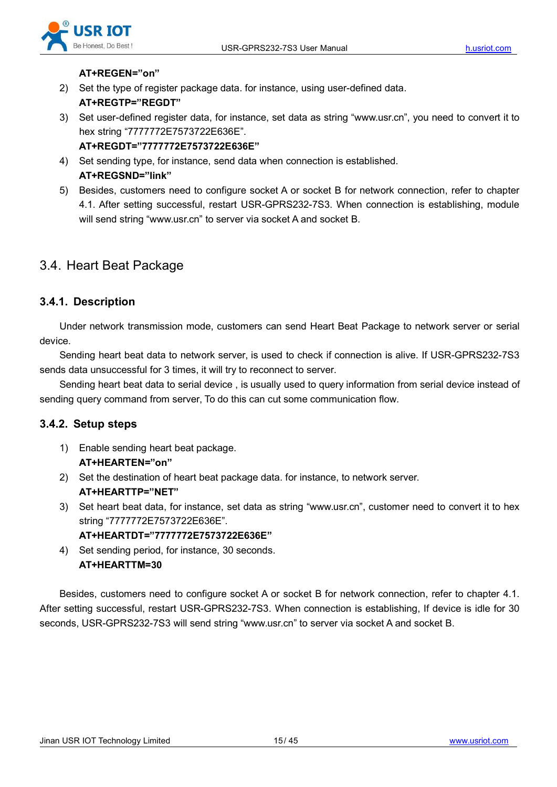

#### **AT+REGEN="on"**

- 2) Set the type of register package data. for instance, using user-defined data. **AT+REGTP="REGDT"**
- 3) Set user-defined register data, for instance, set data as string "www.usr.cn", you need to convert it to hex string "7777772E7573722E636E".
	- **AT+REGDT="7777772E7573722E636E"**
- 4) Set sending type, for instance, send data when connection is established. **AT+REGSND="link"**
- 5) Besides, customers need to configure socket A or socket B for network connection, refer to chapter 4.1. After setting successful, restart USR-GPRS232-7S3. When connection is establishing, module will send string "www.usr.cn" to server via socket A and socket B.

## 3.4. Heart Beat Package

#### **3.4.1. Description**

Under network transmission mode, customers can send Heart Beat Package to network server or serial device.

Sending heart beat data to network server, is used to check if connection is alive. If USR-GPRS232-7S3 sends data unsuccessful for 3 times, it will try to reconnect to server.

Sending heart beat data to serial device , is usually used to query information from serial device instead of sending query command from server, To do this can cut some communication flow.

#### **3.4.2. Setup steps**

- 1) Enable sending heart beat package. **AT+HEARTEN="on"**
- 2) Set the destination of heart beat package data. for instance, to network server. **AT+HEARTTP="NET"**
- 3) Set heart beat data, for instance, set data as string "www.usr.cn", customer need to convert it to hex string "7777772E7573722E636E".

#### **AT+HEARTDT="7777772E7573722E636E"**

4) Set sending period, for instance, 30 seconds. **AT+HEARTTM=30**

Besides, customers need to configure socket A or socket B for network connection, refer to chapter 4.1. After setting successful, restart USR-GPRS232-7S3. When connection is establishing, If device is idle for 30 seconds, USR-GPRS232-7S3 will send string "www.usr.cn" to server via socket A and socket B.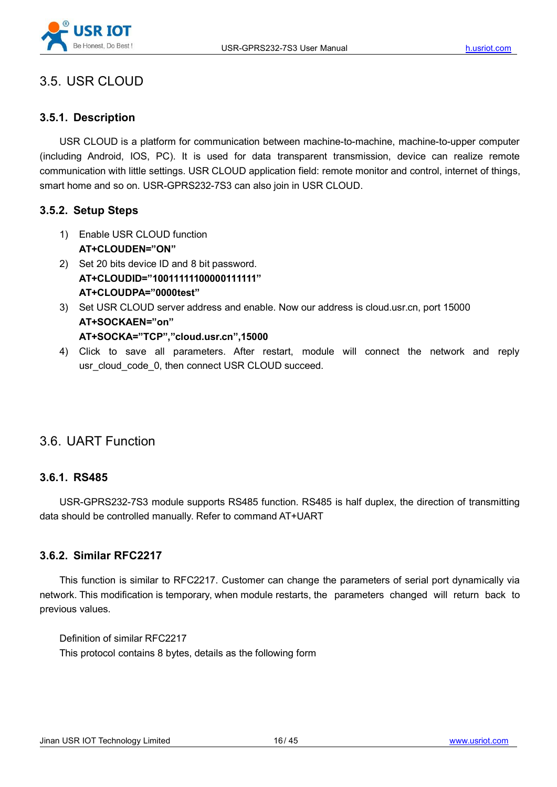

## 3.5. USR CLOUD

### **3.5.1. Description**

USR CLOUD is a platform for communication between machine-to-machine, machine-to-upper computer (including Android, IOS, PC). It is used for data transparent transmission, device can realize remote communication with little settings. USR CLOUD application field: remote monitor and control, internet of things, smart home and so on. USR-GPRS232-7S3 can also join in USR CLOUD.

#### **3.5.2. Setup Steps**

- 1) Enable USR CLOUD function **AT+CLOUDEN="ON"**
- 2) Set 20 bits device ID and 8 bit password. **AT+CLOUDID="10011111100000111111" AT+CLOUDPA="0000test"**
- 3) Set USR CLOUD server address and enable. Now our address is cloud.usr.cn, port 15000 **AT+SOCKAEN="on" AT+SOCKA="TCP","cloud.usr.cn",15000**
- 4) Click to save all parameters. After restart, module will connect the network and reply usr\_cloud\_code\_0, then connect USR CLOUD succeed.

## 3.6. UART Function

#### **3.6.1. RS485**

USR-GPRS232-7S3 module supports RS485 function. RS485 ishalf duplex, the direction of transmitting data should be controlled manually. Refer to command AT+UART

#### **3.6.2. Similar RFC2217**

This function is similar to RFC2217. Customer can change the parameters of serial port dynamically via network. This modification is temporary, when module restarts, the parameters changed will return back to previous values.

Definition of similar RFC2217 This protocol contains 8 bytes, details as the following form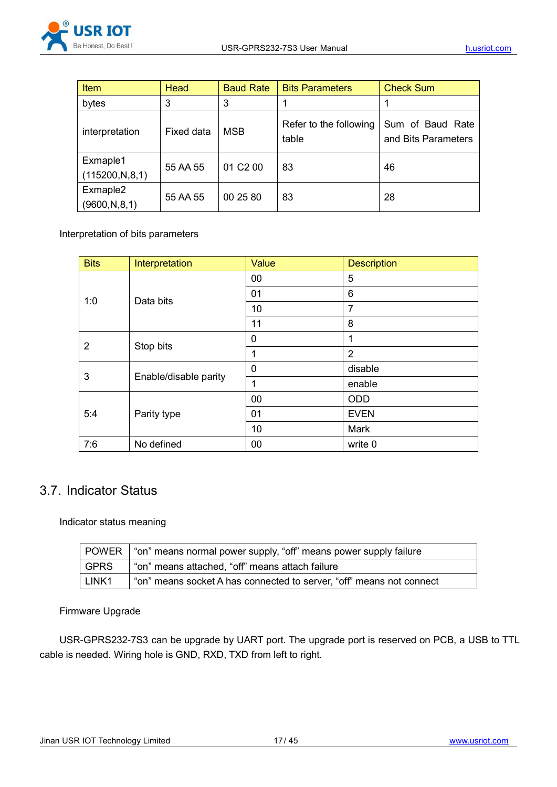

| <b>Item</b>                   | Head       | <b>Baud Rate</b> | <b>Bits Parameters</b>          | <b>Check Sum</b>                        |
|-------------------------------|------------|------------------|---------------------------------|-----------------------------------------|
| bytes                         | 3          | 3                |                                 |                                         |
| interpretation                | Fixed data | <b>MSB</b>       | Refer to the following<br>table | Sum of Baud Rate<br>and Bits Parameters |
| Exmaple1<br>(115200, N, 8, 1) | 55 AA 55   | 01 C2 00         | 83                              | 46                                      |
| Exmaple2<br>(9600, N, 8, 1)   | 55 AA 55   | 00 25 80         | 83                              | 28                                      |

Interpretation of bits parameters

| <b>Bits</b>        | Interpretation        | Value       | <b>Description</b> |
|--------------------|-----------------------|-------------|--------------------|
|                    | 00                    | 5           |                    |
| 1:0                | Data bits             | 01          | 6                  |
|                    |                       | 10          | 7                  |
|                    |                       | 11          | 8                  |
| $\overline{2}$     | Stop bits             | $\mathbf 0$ |                    |
|                    |                       | 4           | $\overline{2}$     |
| 3                  |                       | $\mathbf 0$ | disable            |
|                    | Enable/disable parity | 1           | enable             |
| Parity type<br>5:4 |                       | 00          | ODD                |
|                    |                       | 01          | <b>EVEN</b>        |
|                    |                       | 10          | Mark               |
| 7:6                | No defined            | 00          | write 0            |

## 3.7. Indicator Status

Indicator status meaning

|                   | POWER   "on" means normal power supply, "off" means power supply failure |
|-------------------|--------------------------------------------------------------------------|
| GPRS              | "on" means attached, "off" means attach failure                          |
| LINK <sub>1</sub> | "on" means socket A has connected to server, "off" means not connect     |

#### Firmware Upgrade

USR-GPRS232-7S3 can be upgrade by UART port. The upgrade port is reserved on PCB, a USB to TTL cable is needed. Wiring hole is GND, RXD, TXD from left to right.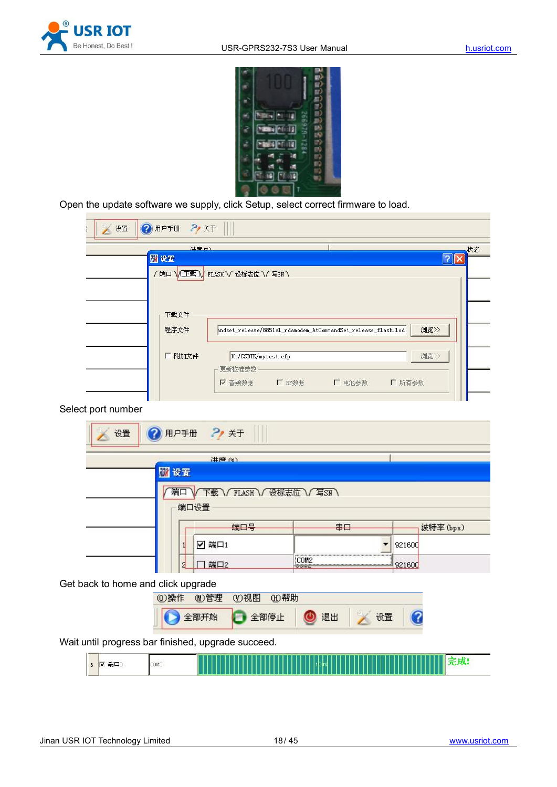



Open the update software we supply, click Setup, select correct firmware to load.

| 2 用户手册<br>2, 关于<br>设置                              |                                    |                                                               |            |
|----------------------------------------------------|------------------------------------|---------------------------------------------------------------|------------|
| (例 由井                                              |                                    |                                                               | 状态         |
| 國设置                                                |                                    |                                                               | $\sqrt{2}$ |
| 【端口<br>下载文件                                        | 下载 FLASH V 设标志位 V 写SN              |                                                               |            |
| 程序文件                                               |                                    | andset_release/8851cl_rdamodem_AtCommandSet_release_flash.lod | 浏览>>       |
| 厂 附加文件                                             | H:/CSDTK/mytest.cfp<br>更新校准参数      |                                                               | 浏览>>       |
|                                                    | 厂 RF数据<br>Ⅳ 音频数据                   | 厂 电池参数                                                        | ■ 所有参数     |
| Select port number                                 |                                    |                                                               |            |
| 2 用户手册<br>设置                                       | 2, 关于                              |                                                               |            |
|                                                    | (》中书                               |                                                               |            |
| 团设置<br>端口<br>端口设置                                  | 下载 / FLASH / 设标志位 / 写SN )          |                                                               |            |
|                                                    |                                    |                                                               |            |
|                                                    | 端口号                                | 串口                                                            | 波特率 (bps)  |
| 1                                                  | ☑ 端口1                              | ▼                                                             | 921600     |
| 2                                                  | $\Box$ 端口2                         | COM2                                                          | 921600     |
| Get back to home and click upgrade                 |                                    |                                                               |            |
| (0)操作                                              | <b>W视图</b><br>(H) 帮助<br><b>心管理</b> |                                                               |            |
| 全部开始                                               | 全部停止                               | 退出<br>■ 设置                                                    |            |
| Wait until progress bar finished, upgrade succeed. |                                    |                                                               |            |
| ▽ 端口3<br>COM3<br>$\mathbf{3}$                      |                                    |                                                               | 完成!        |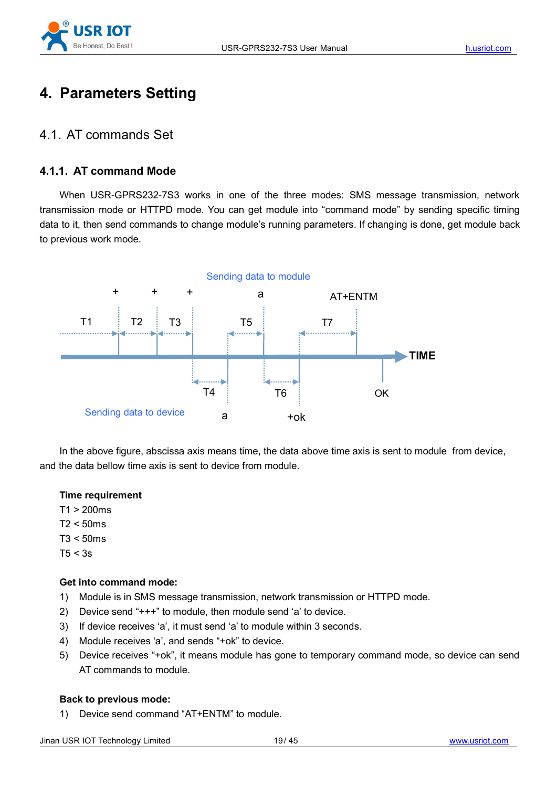

# **4. Parameters Setting**

## 4.1. AT commands Set

#### **4.1.1. AT command Mode**

When USR-GPRS232-7S3 works in one of the three modes: SMS message transmission, network transmission mode or HTTPD mode. You can get module into "command mode" by sending specific timing data to it, then send commands to change module's running parameters. If changing is done, get module back to previous work mode.



In the above figure, abscissa axis means time, the data above time axis is sent to module from device, and the data bellow time axis is sent to device from module.

#### **Time requirement**

 $T1 > 200$ ms

- $T2 < 50$ ms
- $T3 < 50$ ms
- $T5 < 3s$

#### **Get into command mode:**

- 1) Module is in SMS message transmission, network transmission or HTTPD mode.
- 2) Device send "+++" to module, then module send 'a' to device.
- 3) If device receives 'a', it must send 'a' to module within 3 seconds.
- 4) Module receives 'a', and sends "+ok" to device.
- 5) Device receives "+ok", it means module has gone to temporary command mode, so device can send AT commands to module.

#### **Back to previous mode:**

1) Device send command "AT+ENTM" to module.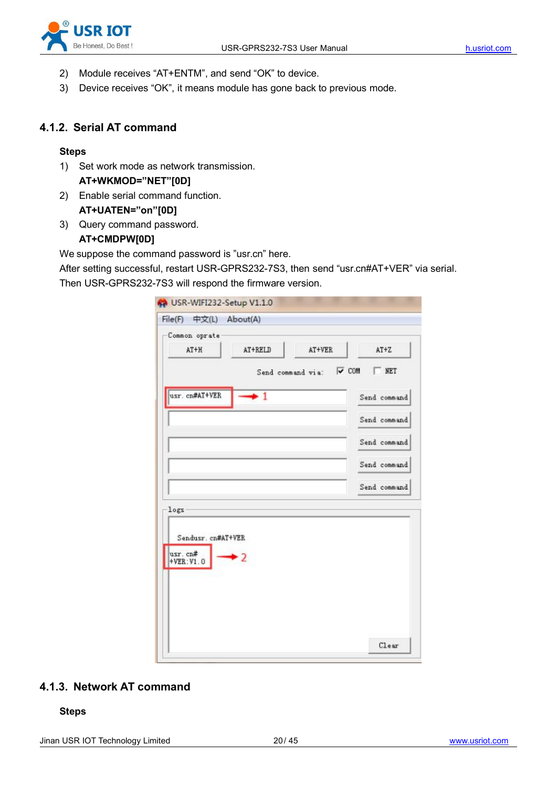

- 2) Module receives "AT+ENTM", and send "OK" to device.
- 3) Device receives "OK", it means module has gone back to previous mode.

#### **4.1.2. Serial AT command**

#### **Steps**

- 1) Set work mode as network transmission. **AT+WKMOD="NET"[0D]**
- 2) Enable serial command function. **AT+UATEN="on"[0D]**
- 3) Query command password.

#### **AT+CMDPW[0D]**

We suppose the command password is "usr.cn" here.

After setting successful, restart USR-GPRS232-7S3, then send "usr.cn#AT+VER" via serial. Then USR-GPRS232-7S3 will respond the firmware version.

| File(F) 中文(L) About(A)                        |                         |              |
|-----------------------------------------------|-------------------------|--------------|
| Common oprate<br>AT+H                         | AT+RELD<br>AT+VER       | $AT+Z$       |
|                                               | Send command via: V COM | NET          |
| usr. cn#AT+VER                                | $\bullet$ 1             | Send command |
|                                               |                         | Send command |
|                                               |                         | Send command |
|                                               |                         | Send command |
|                                               |                         | Send command |
| logs-                                         |                         |              |
| Sendusr. cn#AT+VER<br>usr. cn#<br>$+VER:VI.0$ | $\overline{2}$          |              |
|                                               |                         | C1ear        |

#### **4.1.3. Network AT command**

**Steps**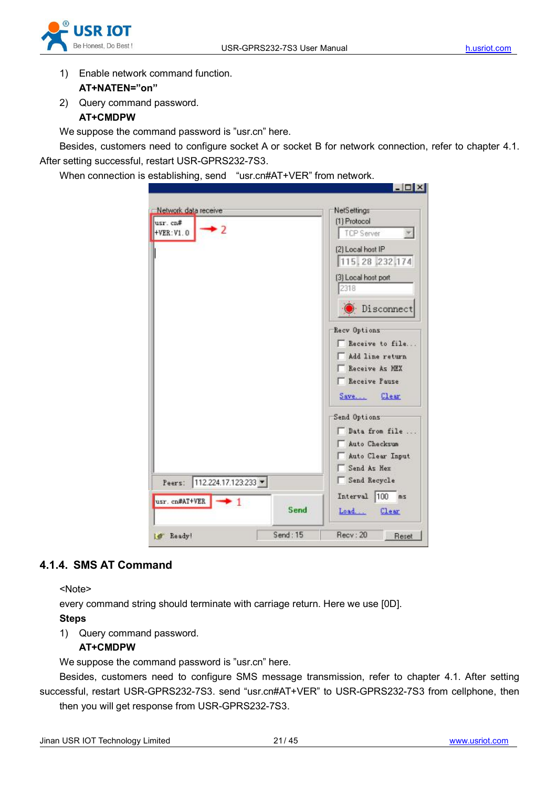



- 1) Enable network command function. **AT+NATEN="on"**
- 2) Query command password.

### **AT+CMDPW**

We suppose the command password is "usr.cn" here.

Besides, customers need to configure socket A or socket B for network connection, refer to chapter 4.1. After setting successful, restart USR-GPRS232-7S3.

When connection is establishing, send "usr.cn#AT+VER" from network.

|                              | <b>NetSettings</b>                |
|------------------------------|-----------------------------------|
| usr. cn#<br>+VER: V1.0       | (1) Protocol<br><b>TCP Server</b> |
|                              | (2) Local host IP                 |
|                              | 115, 28, 232, 174                 |
|                              | (3) Local host port               |
|                              | 2318                              |
|                              |                                   |
|                              | Disconnect                        |
|                              | Recv Options                      |
|                              | Receive to file                   |
|                              | Add line return                   |
|                              | Receive As HEX                    |
|                              | Receive Pause                     |
|                              | Save<br>Clear.                    |
|                              | Send Options                      |
|                              | Data from file                    |
|                              |                                   |
|                              | Auto Checksun                     |
|                              | Auto Clear Input                  |
|                              | Send As Hex                       |
| 112.224.17.123.233<br>Peers: | Send Recycle                      |
| usr. cn#AT+VER<br>- 1        | Interval 100<br>ms                |
|                              | Send<br>Load<br>Clear             |

## **4.1.4. SMS AT Command**

<Note>

every command string should terminate with carriage return. Here we use [0D]. **Steps**

1) Query command password.

#### **AT+CMDPW**

We suppose the command password is "usr.cn" here.

Besides, customers need to configure SMS message transmission, refer to chapter 4.1. After setting successful, restart USR-GPRS232-7S3. send "usr.cn#AT+VER" to USR-GPRS232-7S3 from cellphone, then then you will get response from USR-GPRS232-7S3.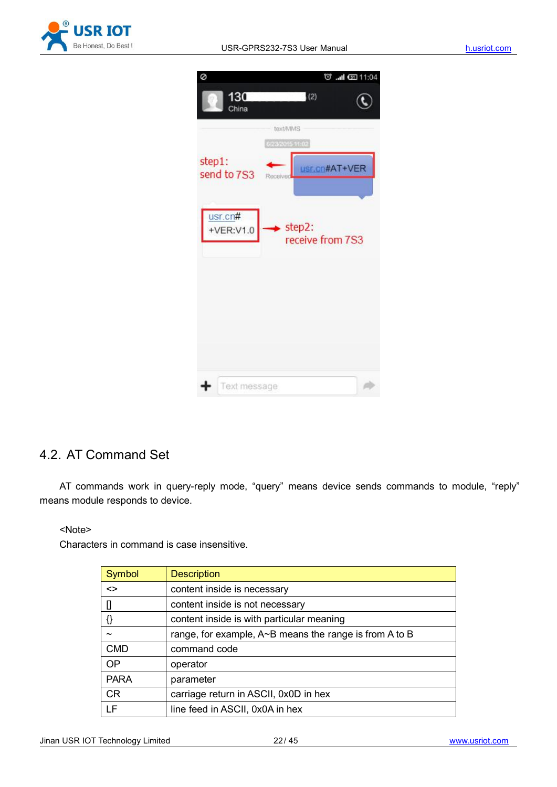

| ø                      | で…11 011:04                |
|------------------------|----------------------------|
| 130<br>China           | (2)                        |
|                        | text/MMS                   |
|                        | 6/23/2015 11:02            |
| step1:<br>send to 7S3  | ISF.CO#AT+VER<br>Received  |
| usr.cn#<br>$+VER:V1.0$ | step2:<br>receive from 7S3 |
|                        |                            |
|                        |                            |
|                        |                            |
|                        |                            |
| Text message           |                            |

## 4.2. AT Command Set

AT commands work in query-reply mode, "query" means device sends commands to module, "reply" means module responds to device.

<Note>

Characters in command is case insensitive.

| Symbol            | <b>Description</b>                                            |
|-------------------|---------------------------------------------------------------|
| $\leftrightarrow$ | content inside is necessary                                   |
|                   | content inside is not necessary                               |
|                   | content inside is with particular meaning                     |
|                   | range, for example, $A \sim B$ means the range is from A to B |
| <b>CMD</b>        | command code                                                  |
| <b>OP</b>         | operator                                                      |
| <b>PARA</b>       | parameter                                                     |
| <b>CR</b>         | carriage return in ASCII, 0x0D in hex                         |
| <b>LF</b>         | line feed in ASCII, 0x0A in hex                               |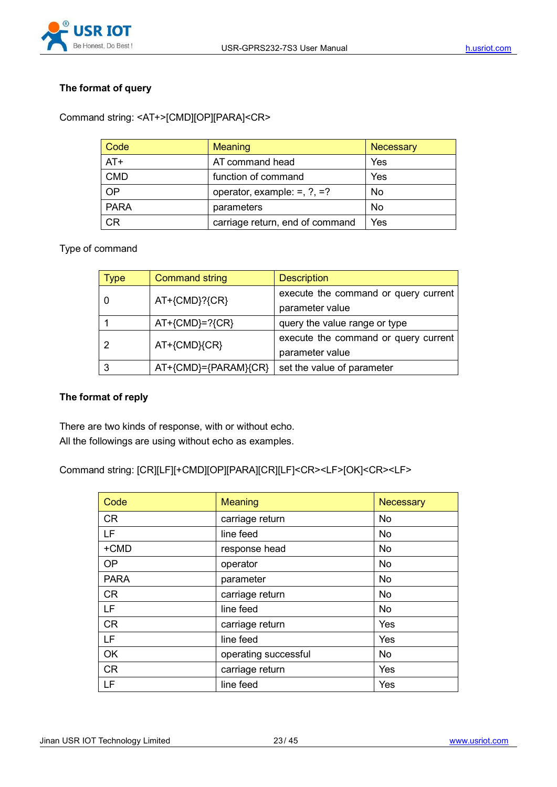

#### **The format of query**

Command string: <AT+>[CMD][OP][PARA]<CR>

| Code        | <b>Meaning</b>                       | Necessary |
|-------------|--------------------------------------|-----------|
| $AT+$       | AT command head                      | Yes       |
| <b>CMD</b>  | function of command                  | Yes       |
| <b>OP</b>   | operator, example: $=$ , $?$ , $=$ ? | <b>No</b> |
| <b>PARA</b> | parameters                           | <b>No</b> |
| <b>CR</b>   | carriage return, end of command      | Yes       |

#### Type of command

| Type | <b>Command string</b>   | <b>Description</b>                                      |
|------|-------------------------|---------------------------------------------------------|
|      | AT+{CMD}?{CR}           | execute the command or query current<br>parameter value |
|      | $AT+$ {CMD}=?{CR}       | query the value range or type                           |
|      | AT+{CMD}{CR}            | execute the command or query current<br>parameter value |
|      | $AT+$ {CMD}={PARAM}{CR} | set the value of parameter                              |

#### **The format of reply**

There are two kinds of response, with or without echo. All the followings are using without echo as examples.

Command string: [CR][LF][+CMD][OP][PARA][CR][LF]<CR><LF>[OK]<CR><LF>

| Code        | Meaning              | Necessary  |
|-------------|----------------------|------------|
| <b>CR</b>   | carriage return      | <b>No</b>  |
| <b>LF</b>   | line feed            | <b>No</b>  |
| +CMD        | response head        | No         |
| OP          | operator             | <b>No</b>  |
| <b>PARA</b> | parameter            | <b>No</b>  |
| CR          | carriage return      | <b>No</b>  |
| <b>LF</b>   | line feed            | <b>No</b>  |
| <b>CR</b>   | carriage return      | <b>Yes</b> |
| <b>LF</b>   | line feed            | <b>Yes</b> |
| <b>OK</b>   | operating successful | <b>No</b>  |
| <b>CR</b>   | carriage return      | Yes        |
| LF          | line feed            | Yes        |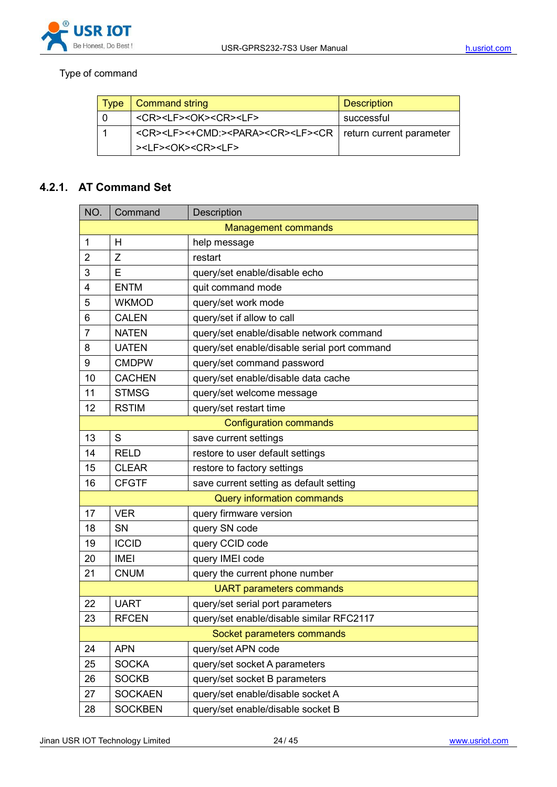## Type of command

| $\mid$ Type | Command string                                                                                                                 | <b>Description</b> |
|-------------|--------------------------------------------------------------------------------------------------------------------------------|--------------------|
|             | <cr><lf><ok><cr><lf></lf></cr></ok></lf></cr>                                                                                  | successful         |
|             | <cr><lf>&lt;+CMD:&gt;<para><cr><lf><cr current="" parameter<="" return="" td=""  =""><td></td></cr></lf></cr></para></lf></cr> |                    |
|             | > <lf><ok><cr><lf></lf></cr></ok></lf>                                                                                         |                    |

### **4.2.1. AT Command Set**

| NO.                        | Command                         | Description                                  |  |
|----------------------------|---------------------------------|----------------------------------------------|--|
| <b>Management commands</b> |                                 |                                              |  |
| $\mathbf 1$                | H                               | help message                                 |  |
| 2                          | Z                               | restart                                      |  |
| 3                          | E                               | query/set enable/disable echo                |  |
| 4                          | <b>ENTM</b>                     | quit command mode                            |  |
| 5                          | <b>WKMOD</b>                    | query/set work mode                          |  |
| 6                          | <b>CALEN</b>                    | query/set if allow to call                   |  |
| 7                          | <b>NATEN</b>                    | query/set enable/disable network command     |  |
| 8                          | <b>UATEN</b>                    | query/set enable/disable serial port command |  |
| 9                          | <b>CMDPW</b>                    | query/set command password                   |  |
| 10                         | <b>CACHEN</b>                   | query/set enable/disable data cache          |  |
| 11                         | <b>STMSG</b>                    | query/set welcome message                    |  |
| 12                         | <b>RSTIM</b>                    | query/set restart time                       |  |
|                            |                                 | <b>Configuration commands</b>                |  |
| 13                         | S                               | save current settings                        |  |
| 14                         | <b>RELD</b>                     | restore to user default settings             |  |
| 15                         | <b>CLEAR</b>                    | restore to factory settings                  |  |
| 16                         | <b>CFGTF</b>                    | save current setting as default setting      |  |
| Query information commands |                                 |                                              |  |
| 17                         | <b>VER</b>                      | query firmware version                       |  |
| 18                         | SN                              | query SN code                                |  |
| 19                         | <b>ICCID</b>                    | query CCID code                              |  |
| 20                         | <b>IMEI</b>                     | query IMEI code                              |  |
| 21                         | <b>CNUM</b>                     | query the current phone number               |  |
|                            | <b>UART</b> parameters commands |                                              |  |
| 22                         | <b>UART</b>                     | query/set serial port parameters             |  |
| 23                         | <b>RFCEN</b>                    | query/set enable/disable similar RFC2117     |  |
|                            |                                 | Socket parameters commands                   |  |
| 24                         | <b>APN</b>                      | query/set APN code                           |  |
| 25                         | <b>SOCKA</b>                    | query/set socket A parameters                |  |
| 26                         | <b>SOCKB</b>                    | query/set socket B parameters                |  |
| 27                         | <b>SOCKAEN</b>                  | query/set enable/disable socket A            |  |
| 28                         | <b>SOCKBEN</b>                  | query/set enable/disable socket B            |  |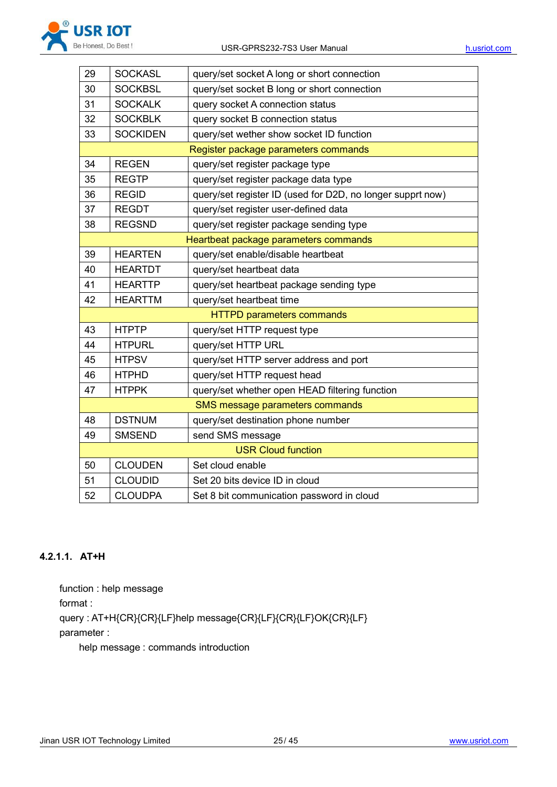

| 29 | <b>SOCKASL</b>  | query/set socket A long or short connection                |
|----|-----------------|------------------------------------------------------------|
| 30 | <b>SOCKBSL</b>  | query/set socket B long or short connection                |
| 31 | <b>SOCKALK</b>  | query socket A connection status                           |
| 32 | <b>SOCKBLK</b>  | query socket B connection status                           |
| 33 | <b>SOCKIDEN</b> | query/set wether show socket ID function                   |
|    |                 | Register package parameters commands                       |
| 34 | <b>REGEN</b>    | query/set register package type                            |
| 35 | <b>REGTP</b>    | query/set register package data type                       |
| 36 | <b>REGID</b>    | query/set register ID (used for D2D, no longer supprt now) |
| 37 | <b>REGDT</b>    | query/set register user-defined data                       |
| 38 | <b>REGSND</b>   | query/set register package sending type                    |
|    |                 | Heartbeat package parameters commands                      |
| 39 | <b>HEARTEN</b>  | query/set enable/disable heartbeat                         |
| 40 | <b>HEARTDT</b>  | query/set heartbeat data                                   |
| 41 | <b>HEARTTP</b>  | query/set heartbeat package sending type                   |
| 42 | <b>HEARTTM</b>  | query/set heartbeat time                                   |
|    |                 | <b>HTTPD parameters commands</b>                           |
| 43 | <b>HTPTP</b>    | query/set HTTP request type                                |
| 44 | <b>HTPURL</b>   | query/set HTTP URL                                         |
| 45 | <b>HTPSV</b>    | query/set HTTP server address and port                     |
| 46 | <b>HTPHD</b>    | query/set HTTP request head                                |
| 47 | <b>HTPPK</b>    | query/set whether open HEAD filtering function             |
|    |                 | SMS message parameters commands                            |
| 48 | <b>DSTNUM</b>   | query/set destination phone number                         |
| 49 | <b>SMSEND</b>   | send SMS message                                           |
|    |                 | <b>USR Cloud function</b>                                  |
| 50 | <b>CLOUDEN</b>  | Set cloud enable                                           |
| 51 | <b>CLOUDID</b>  | Set 20 bits device ID in cloud                             |
| 52 | <b>CLOUDPA</b>  | Set 8 bit communication password in cloud                  |

#### **4.2.1.1. AT+H**

function : help message format : query : AT+H{CR}{CR}{LF}help message{CR}{LF}{CR}{LF}OK{CR}{LF} parameter :

help message : commands introduction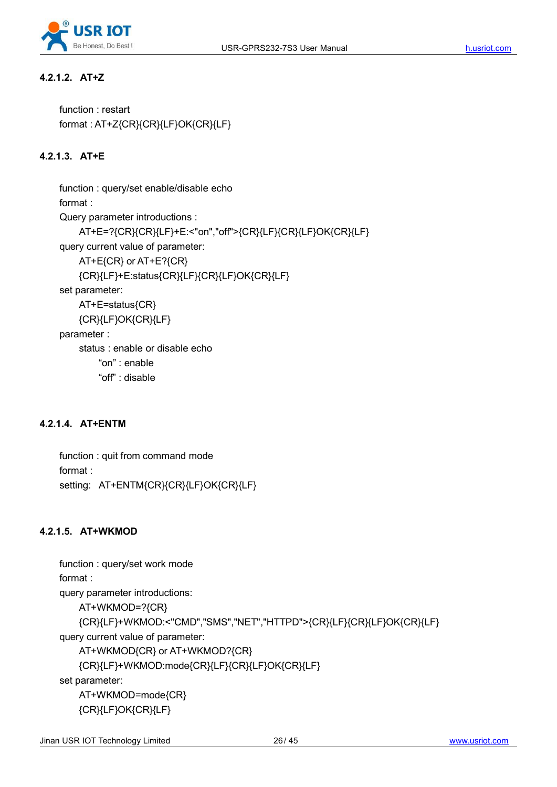

#### **4.2.1.2. AT+Z**

function : restart format : AT+Z{CR}{CR}{LF}OK{CR}{LF}

### **4.2.1.3. AT+E**

function : query/set enable/disable echo format : Query parameter introductions : AT+E=?{CR}{CR}{LF}+E:<"on","off">{CR}{LF}{CR}{LF}OK{CR}{LF} query current value of parameter: AT+E{CR} or AT+E?{CR} {CR}{LF}+E:status{CR}{LF}{CR}{LF}OK{CR}{LF} set parameter: AT+E=status{CR} {CR}{LF}OK{CR}{LF} parameter : status : enable or disable echo "on" : enable "off" : disable

#### **4.2.1.4. AT+ENTM**

function : quit from command mode format : setting: AT+ENTM{CR}{CR}{LF}OK{CR}{LF}

#### **4.2.1.5. AT+WKMOD**

```
function : query/set work mode
format :
query parameter introductions:
   AT+WKMOD=?{CR}
   {CR}{LF}+WKMOD:<"CMD","SMS","NET","HTTPD">{CR}{LF}{CR}{LF}OK{CR}{LF}
query current value of parameter:
   AT+WKMOD{CR} or AT+WKMOD?{CR}
   {CR}{LF}+WKMOD:mode{CR}{LF}{CR}{LF}OK{CR}{LF}
set parameter:
   AT+WKMOD=mode{CR}
   {CR}{LF}OK{CR}{LF}
```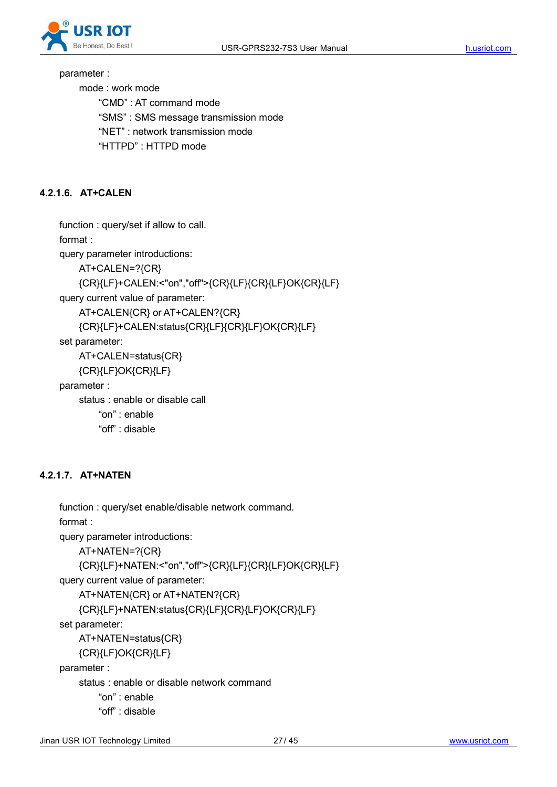

parameter :

mode : work mode

"CMD" : AT command mode

"SMS" : SMS message transmission mode

"NET" : network transmission mode

"HTTPD" : HTTPD mode

#### **4.2.1.6. AT+CALEN**

function : query/set if allow to call.

format :

query parameter introductions:

AT+CALEN=?{CR}

{CR}{LF}+CALEN:<"on","off">{CR}{LF}{CR}{LF}OK{CR}{LF}

query current value of parameter:

AT+CALEN{CR} or AT+CALEN?{CR}

{CR}{LF}+CALEN:status{CR}{LF}{CR}{LF}OK{CR}{LF}

set parameter:

AT+CALEN=status{CR}

{CR}{LF}OK{CR}{LF}

parameter :

status : enable or disable call

"on" : enable

"off" : disable

#### **4.2.1.7. AT+NATEN**

```
function : query/set enable/disable network command.
format :
query parameter introductions:
    AT+NATEN=?{CR}
    {CR}{LF}+NATEN:<"on","off">{CR}{LF}{CR}{LF}OK{CR}{LF}
query current value of parameter:
    AT+NATEN{CR} or AT+NATEN?{CR}
    {CR}{LF}+NATEN:status{CR}{LF}{CR}{LF}OK{CR}{LF}
set parameter:
   AT+NATEN=status{CR}
    {CR}{LF}OK{CR}{LF}
parameter :
    status : enable or disable network command
        "on" : enable
        "off" : disable
```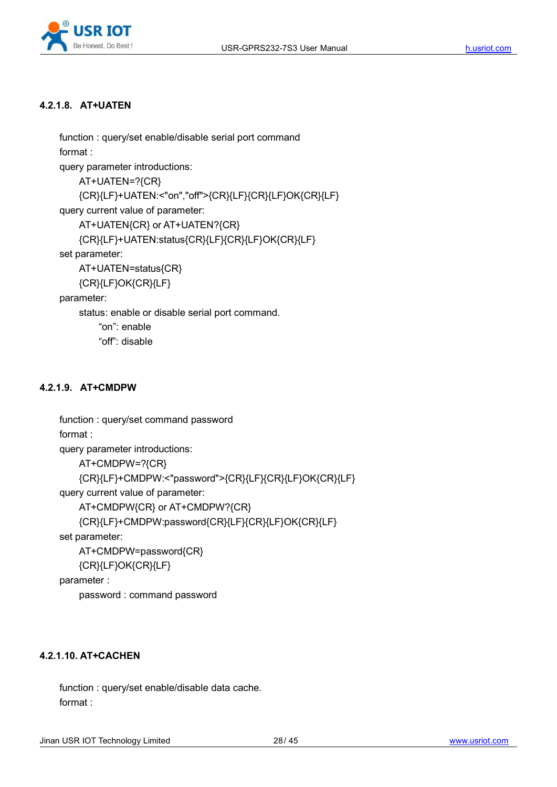

#### **4.2.1.8. AT+UATEN**

```
function : query/set enable/disable serial port command
format :
query parameter introductions:
    AT+UATEN=?{CR}
    {CR}{LF}+UATEN:<"on","off">{CR}{LF}{CR}{LF}OK{CR}{LF}
query current value of parameter:
    AT+UATEN{CR} or AT+UATEN?{CR}
    {CR}{LF}+UATEN:status{CR}{LF}{CR}{LF}OK{CR}{LF}
set parameter:
    AT+UATEN=status{CR}
    {CR}{LF}OK{CR}{LF}
parameter:
    status: enable or disable serial port command. "on": enable
        "off": disable
```
#### **4.2.1.9. AT+CMDPW**

```
function : query/set command password
format :
query parameter introductions:
   AT+CMDPW=?{CR}
   {CR}{LF}+CMDPW:<"password">{CR}{LF}{CR}{LF}OK{CR}{LF}
query current value of parameter:
   AT+CMDPW{CR} or AT+CMDPW?{CR}
   {CR}{LF}+CMDPW:password{CR}{LF}{CR}{LF}OK{CR}{LF}
set parameter:
   AT+CMDPW=password{CR}
   {CR}{LF}OK{CR}{LF}
```
parameter :

password : command password

#### **4.2.1.10. AT+CACHEN**

function : query/set enable/disable data cache. format :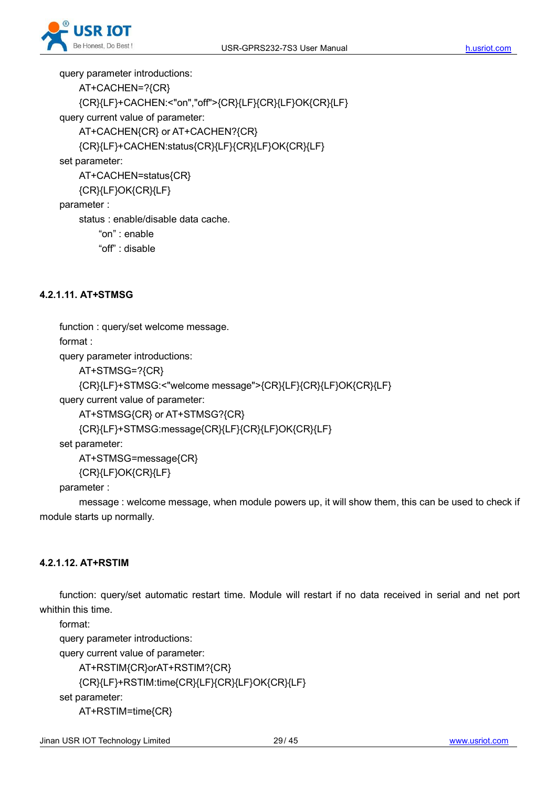

query parameter introductions:

```
AT+CACHEN=?{CR}
   {CR}{LF}+CACHEN:<"on","off">{CR}{LF}{CR}{LF}OK{CR}{LF}
query current value of parameter:
   AT+CACHEN{CR} or AT+CACHEN?{CR}
   {CR}{LF}+CACHEN:status{CR}{LF}{CR}{LF}OK{CR}{LF}
set parameter:
   AT+CACHEN=status{CR}
   {CR}{LF}OK{CR}{LF}
parameter :
   status : enable/disable data cache. "on" : enable
       "off" : disable
```
#### **4.2.1.11. AT+STMSG**

function : query/set welcome message.

format :

query parameter introductions:

AT+STMSG=?{CR}

{CR}{LF}+STMSG:<"welcome message">{CR}{LF}{CR}{LF}OK{CR}{LF}

query current value of parameter:

AT+STMSG{CR} or AT+STMSG?{CR}

```
{CR}{LF}+STMSG:message{CR}{LF}{CR}{LF}OK{CR}{LF}
```
set parameter:

AT+STMSG=message{CR}

{CR}{LF}OK{CR}{LF}

parameter :

message : welcome message, when module powers up, it will show them, this can be used to check if module starts up normally.

#### **4.2.1.12. AT+RSTIM**

function: query/set automatic restart time. Module will restart if no data received in serial and net port whithin this time.

format:

query parameter introductions:

query current value of parameter:

AT+RSTIM{CR}orAT+RSTIM?{CR}

```
{CR}{LF}+RSTIM:time{CR}{LF}{CR}{LF}OK{CR}{LF}
```
set parameter:

AT+RSTIM=time{CR}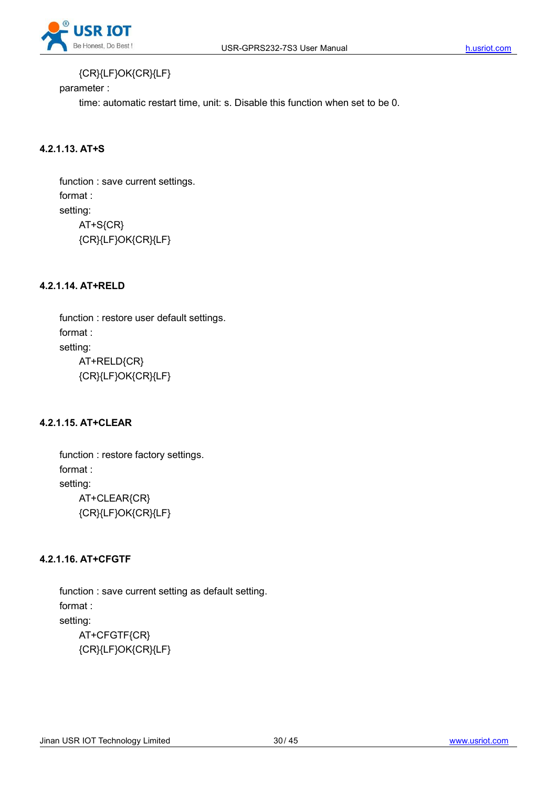

### {CR}{LF}OK{CR}{LF}

parameter :

time: automatic restart time, unit: s. Disable this function when set to be 0.

#### **4.2.1.13. AT+S**

function : save current settings. format : setting: AT+S{CR} {CR}{LF}OK{CR}{LF}

#### **4.2.1.14. AT+RELD**

function : restore user default settings. format : setting: AT+RELD{CR} {CR}{LF}OK{CR}{LF}

#### **4.2.1.15. AT+CLEAR**

function : restore factory settings. format : setting: AT+CLEAR{CR} {CR}{LF}OK{CR}{LF}

#### **4.2.1.16. AT+CFGTF**

function : save current setting as default setting. format : setting: AT+CFGTF{CR} {CR}{LF}OK{CR}{LF}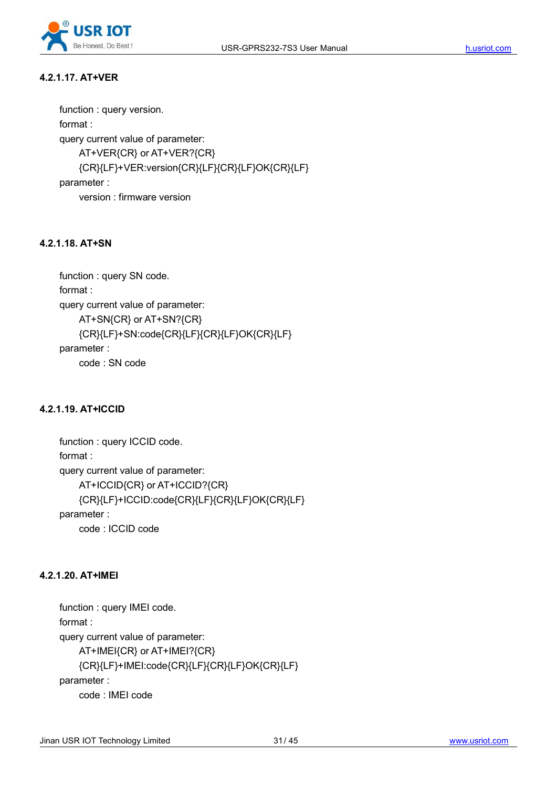

#### **4.2.1.17. AT+VER**

function : query version. format : query current value of parameter: AT+VER{CR} or AT+VER?{CR} {CR}{LF}+VER:version{CR}{LF}{CR}{LF}OK{CR}{LF} parameter : version : firmware version

#### **4.2.1.18. AT+SN**

```
function : query SN code.
format :
query current value of parameter:
    AT+SN{CR} or AT+SN?{CR}
    {CR}{LF}+SN:code{CR}{LF}{CR}{LF}OK{CR}{LF}
parameter :
    code : SN code
```
#### **4.2.1.19. AT+ICCID**

```
function : query ICCID code.
format :
query current value of parameter:
    AT+ICCID{CR} or AT+ICCID?{CR}
    {CR}{LF}+ICCID:code{CR}{LF}{CR}{LF}OK{CR}{LF}
parameter :
    code : ICCID code
```
#### **4.2.1.20. AT+IMEI**

```
function : query IMEI code.
format :
query current value of parameter:
    AT+IMEI{CR} or AT+IMEI?{CR}
    {CR}{LF}+IMEI:code{CR}{LF}{CR}{LF}OK{CR}{LF}
parameter :
    code : IMEI code
```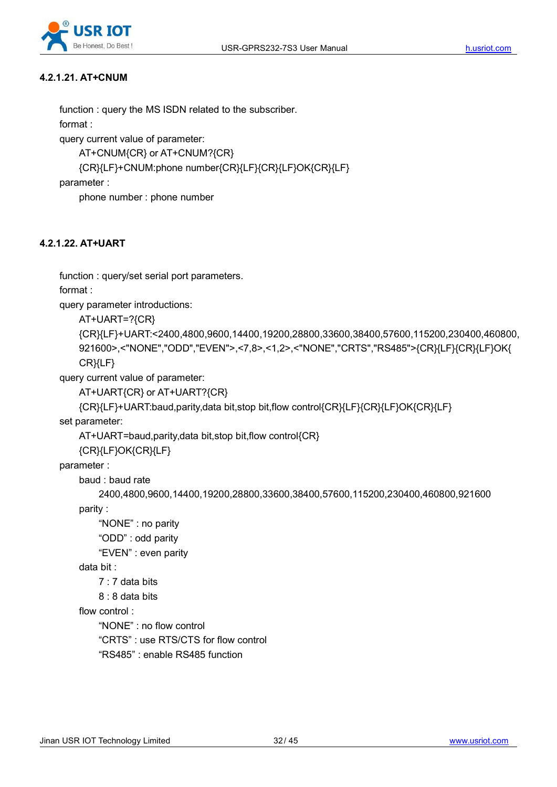

#### **4.2.1.21. AT+CNUM**

function : query the MS ISDN related to the subscriber. format :

query current value of parameter:

AT+CNUM{CR} or AT+CNUM?{CR}

```
{CR}{LF}+CNUM:phone number{CR}{LF}{CR}{LF}OK{CR}{LF}
```
parameter :

phone number : phone number

#### **4.2.1.22. AT+UART**

function : query/set serial port parameters.

format :

query parameter introductions:

AT+UART=?{CR}

```
{CR}{LF}+UART:<2400,4800,9600,14400,19200,28800,33600,38400,57600,115200,230400,460800, 921600>,<"NONE","ODD","EVEN">,<7,8>,<1,2>,<"NONE","CRTS","RS485">{CR}{LF}{CR}{LF}OK{
CR}{LF}
```
query current value of parameter:

```
AT+UART{CR} or AT+UART?{CR}
```

```
{CR}{LF}+UART:baud,parity,data bit,stop bit,flow control{CR}{LF}{CR}{LF}OK{CR}{LF}
```
set parameter:

AT+UART=baud,parity,data bit,stop bit,flow control{CR}

{CR}{LF}OK{CR}{LF}

parameter :

baud : baud rate

```
2400,4800,9600,14400,19200,28800,33600,38400,57600,115200,230400,460800,921600
```
parity :

"NONE" : no parity

"ODD" : odd parity

"EVEN" : even parity

data bit :

7 : 7 data bits

```
8 : 8 data bits
```
flow control :

"NONE" : no flow control

"CRTS" : use RTS/CTS for flow control

```
"RS485" : enable RS485 function
```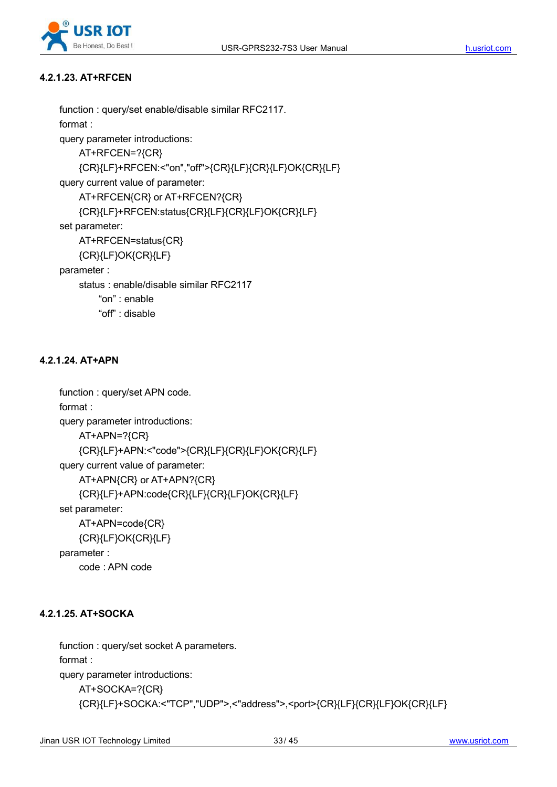

#### **4.2.1.23. AT+RFCEN**

```
function : query/set enable/disable similar RFC2117.
    format :
    query parameter introductions:
        AT+RFCEN=?{CR}
        {CR}{LF}+RFCEN:<"on","off">{CR}{LF}{CR}{LF}OK{CR}{LF}
    query current value of parameter:
        AT+RFCEN{CR} or AT+RFCEN?{CR}
        {CR}{LF}+RFCEN:status{CR}{LF}{CR}{LF}OK{CR}{LF}
    set parameter:
        AT+RFCEN=status{CR}
        {CR}{LF}OK{CR}{LF}
    parameter :
        status : enable/disable similar RFC2117
            "on" : enable
            "off" : disable
4.2.1.24. AT+APN
    function : query/set APN code.
```
format : query parameter introductions: AT+APN=?{CR} {CR}{LF}+APN:<"code">{CR}{LF}{CR}{LF}OK{CR}{LF} query current value of parameter: AT+APN{CR} or AT+APN?{CR} {CR}{LF}+APN:code{CR}{LF}{CR}{LF}OK{CR}{LF} set parameter: AT+APN=code{CR} {CR}{LF}OK{CR}{LF} parameter :

# **4.2.1.25. AT+SOCKA**

code : APN code

function : query/set socket A parameters. format : query parameter introductions: AT+SOCKA=?{CR} {CR}{LF}+SOCKA:<"TCP","UDP">,<"address">,<port>{CR}{LF}{CR}{LF}OK{CR}{LF}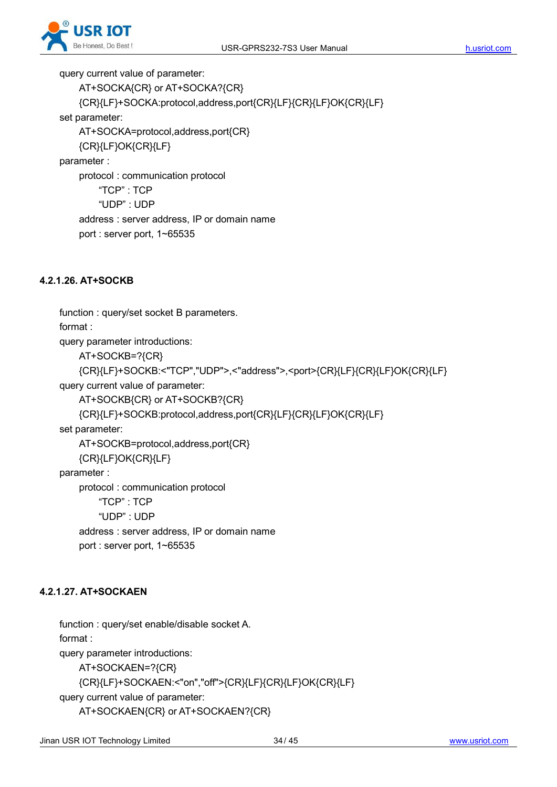

query current value of parameter: AT+SOCKA{CR} or AT+SOCKA?{CR} {CR}{LF}+SOCKA:protocol,address,port{CR}{LF}{CR}{LF}OK{CR}{LF} set parameter: AT+SOCKA=protocol,address,port{CR} {CR}{LF}OK{CR}{LF} parameter : protocol : communication protocol "TCP" : TCP "UDP" : UDP address : server address, IP or domain name port : server port, 1~65535

#### **4.2.1.26. AT+SOCKB**

function : query/set socket B parameters.

format :

query parameter introductions:

AT+SOCKB=?{CR}

```
{CR}{LF}+SOCKB:<"TCP","UDP">,<"address">,<port>{CR}{LF}{CR}{LF}OK{CR}{LF}
query current value of parameter:
```
AT+SOCKB{CR} or AT+SOCKB?{CR}

```
{CR}{LF}+SOCKB:protocol,address,port{CR}{LF}{CR}{LF}OK{CR}{LF}
```
set parameter:

AT+SOCKB=protocol,address,port{CR}

{CR}{LF}OK{CR}{LF}

parameter :

protocol : communication protocol "TCP" : TCP "UDP" : UDP address : server address, IP or domain name

```
port : server port, 1~65535
```
#### **4.2.1.27. AT+SOCKAEN**

function : query/set enable/disable socket A. format : query parameter introductions: AT+SOCKAEN=?{CR} {CR}{LF}+SOCKAEN:<"on","off">{CR}{LF}{CR}{LF}OK{CR}{LF} query current value of parameter: AT+SOCKAEN{CR} or AT+SOCKAEN?{CR}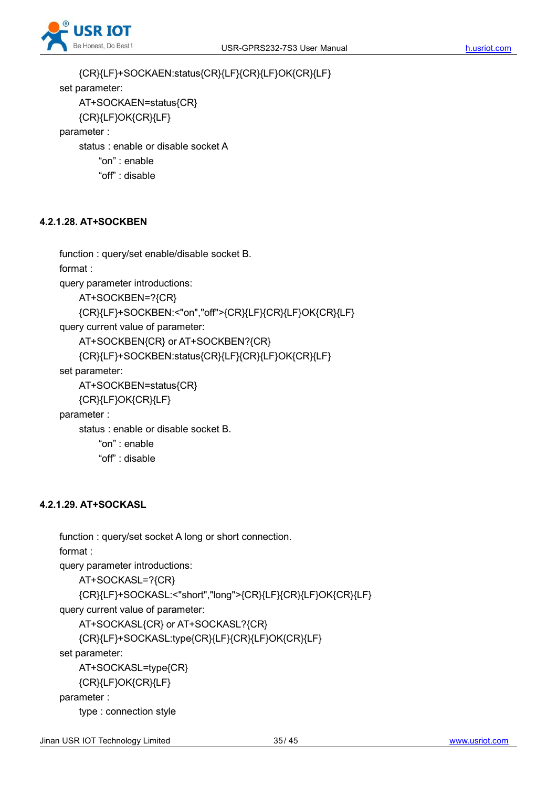

{CR}{LF}+SOCKAEN:status{CR}{LF}{CR}{LF}OK{CR}{LF} set parameter: AT+SOCKAEN=status{CR} {CR}{LF}OK{CR}{LF} parameter : status : enable or disable socket A "on" : enable "off" : disable

#### **4.2.1.28. AT+SOCKBEN**

function : query/set enable/disable socket B. format : query parameter introductions: AT+SOCKBEN=?{CR} {CR}{LF}+SOCKBEN:<"on","off">{CR}{LF}{CR}{LF}OK{CR}{LF} query current value of parameter: AT+SOCKBEN{CR} or AT+SOCKBEN?{CR} {CR}{LF}+SOCKBEN:status{CR}{LF}{CR}{LF}OK{CR}{LF} set parameter: AT+SOCKBEN=status{CR} {CR}{LF}OK{CR}{LF} parameter : status : enable or disable socket B. "on" : enable "off" : disable

#### **4.2.1.29. AT+SOCKASL**

```
function : query/set socket A long or short connection.
format :
query parameter introductions:
   AT+SOCKASL=?{CR}
   {CR}{LF}+SOCKASL:<"short","long">{CR}{LF}{CR}{LF}OK{CR}{LF}
query current value of parameter:
   AT+SOCKASL{CR} or AT+SOCKASL?{CR}
   {CR}{LF}+SOCKASL:type{CR}{LF}{CR}{LF}OK{CR}{LF}
set parameter:
   AT+SOCKASL=type{CR}
   {CR}{LF}OK{CR}{LF}
parameter :
   type : connection style
```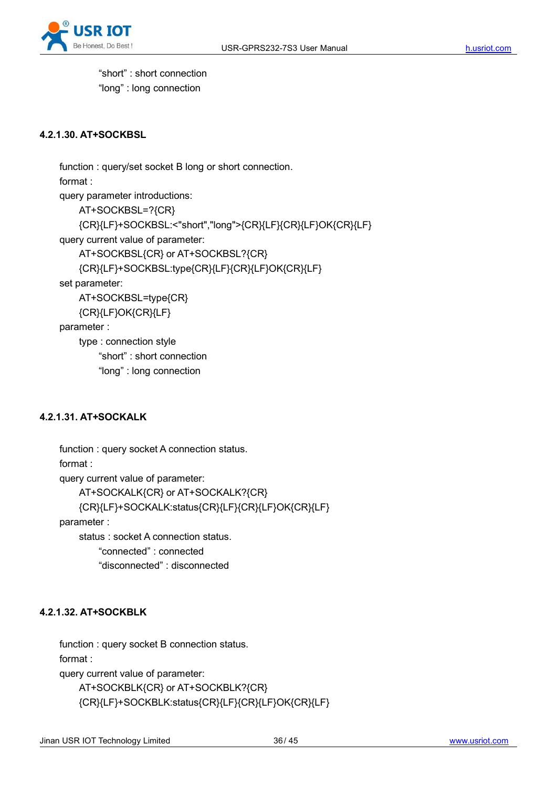

"short" : short connection "long" : long connection

#### **4.2.1.30. AT+SOCKBSL**

```
function : query/set socket B long or short connection.
format :
query parameter introductions:
    AT+SOCKBSL=?{CR}
    {CR}{LF}+SOCKBSL:<"short","long">{CR}{LF}{CR}{LF}OK{CR}{LF}
query current value of parameter:
    AT+SOCKBSL{CR} or AT+SOCKBSL?{CR}
    {CR}{LF}+SOCKBSL:type{CR}{LF}{CR}{LF}OK{CR}{LF}
set parameter:
    AT+SOCKBSL=type{CR}
    {CR}{LF}OK{CR}{LF}
parameter :
    type : connection style
        "short" : short connection
        "long" : long connection
```
#### **4.2.1.31. AT+SOCKALK**

```
function : query socket A connection status.
format :
query current value of parameter:
    AT+SOCKALK{CR} or AT+SOCKALK?{CR}
    {CR}{LF}+SOCKALK:status{CR}{LF}{CR}{LF}OK{CR}{LF}
parameter :
    status : socket A connection status. "connected" : connected
        "disconnected" : disconnected
```
#### **4.2.1.32. AT+SOCKBLK**

function : query socket B connection status. format : query current value of parameter: AT+SOCKBLK{CR} or AT+SOCKBLK?{CR} {CR}{LF}+SOCKBLK:status{CR}{LF}{CR}{LF}OK{CR}{LF}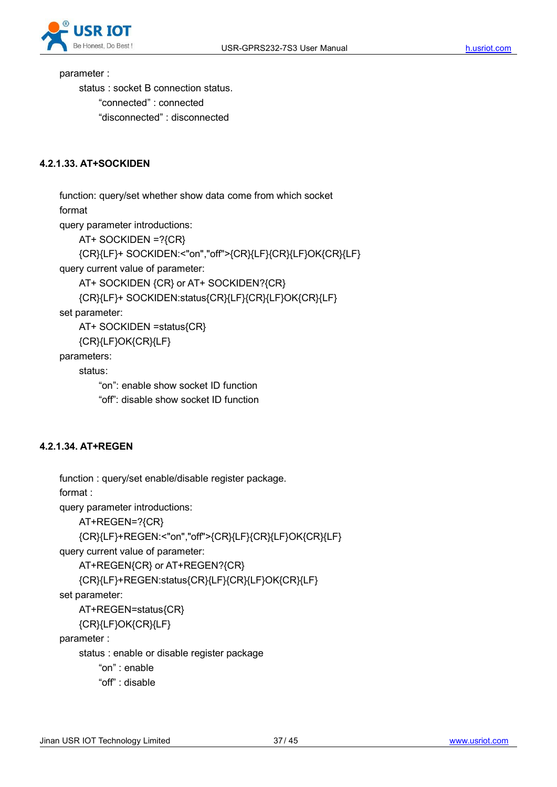

parameter :

status : socket B connection status. "connected" : connected "disconnected" : disconnected

#### **4.2.1.33. AT+SOCKIDEN**

function: query/set whether show data come from which socket format

query parameter introductions:

AT+ SOCKIDEN =?{CR}

{CR}{LF}+ SOCKIDEN:<"on","off">{CR}{LF}{CR}{LF}OK{CR}{LF}

query current value of parameter:

AT+ SOCKIDEN {CR} or AT+ SOCKIDEN?{CR}

{CR}{LF}+ SOCKIDEN:status{CR}{LF}{CR}{LF}OK{CR}{LF}

set parameter:

AT+ SOCKIDEN =status{CR}

{CR}{LF}OK{CR}{LF}

parameters:

status:

"on": enable show socket ID function

"off": disable show socket ID function

#### **4.2.1.34. AT+REGEN**

```
function : query/set enable/disable register package.
format :
query parameter introductions:
    AT+REGEN=?{CR}
    {CR}{LF}+REGEN:<"on","off">{CR}{LF}{CR}{LF}OK{CR}{LF}
query current value of parameter:
    AT+REGEN{CR} or AT+REGEN?{CR}
    {CR}{LF}+REGEN:status{CR}{LF}{CR}{LF}OK{CR}{LF}
set parameter:
    AT+REGEN=status{CR}
    {CR}{LF}OK{CR}{LF}
parameter :
    status : enable or disable register package
        "on" : enable
        "off" : disable
```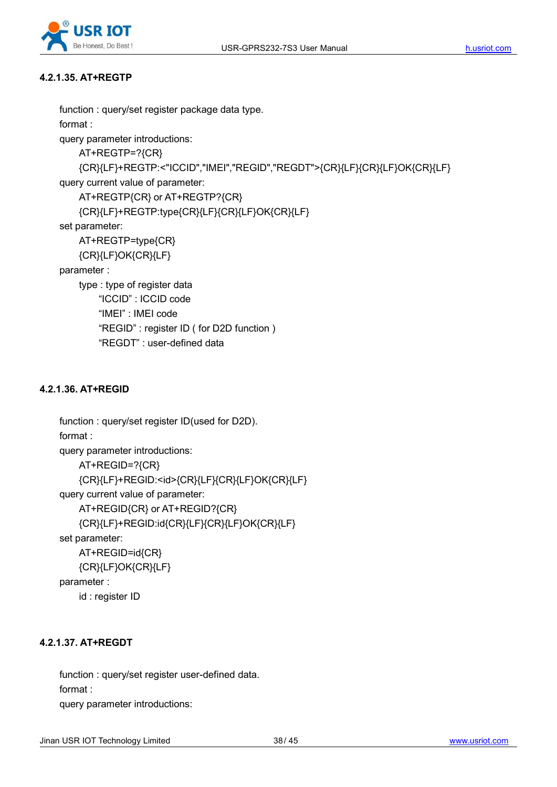

#### **4.2.1.35. AT+REGTP**

```
function : query/set register package data type.
format :
query parameter introductions:
    AT+REGTP=?{CR}
    {CR}{LF}+REGTP:<"ICCID","IMEI","REGID","REGDT">{CR}{LF}{CR}{LF}OK{CR}{LF}
query current value of parameter:
    AT+REGTP{CR} or AT+REGTP?{CR}
    {CR}{LF}+REGTP:type{CR}{LF}{CR}{LF}OK{CR}{LF}
set parameter:
    AT+REGTP=type{CR}
    {CR}{LF}OK{CR}{LF}
parameter :
    type : type of register data
        "ICCID" : ICCID code
        "IMEI" : IMEI code
        "REGID" : register ID ( for D2D function )
        "REGDT" : user-defined data
```
#### **4.2.1.36. AT+REGID**

```
function : query/set register ID(used for D2D).
format :
query parameter introductions:
    AT+REGID=?{CR}
    {CR}{LF}+REGID:<id>{CR}{LF}{CR}{LF}OK{CR}{LF}
query current value of parameter:
    AT+REGID{CR} or AT+REGID?{CR}
    {CR}{LF}+REGID:id{CR}{LF}{CR}{LF}OK{CR}{LF}
set parameter:
   AT+REGID=id{CR}
    {CR}{LF}OK{CR}{LF}
parameter :
   id : register ID
```
#### **4.2.1.37. AT+REGDT**

function : query/set register user-defined data. format : query parameter introductions: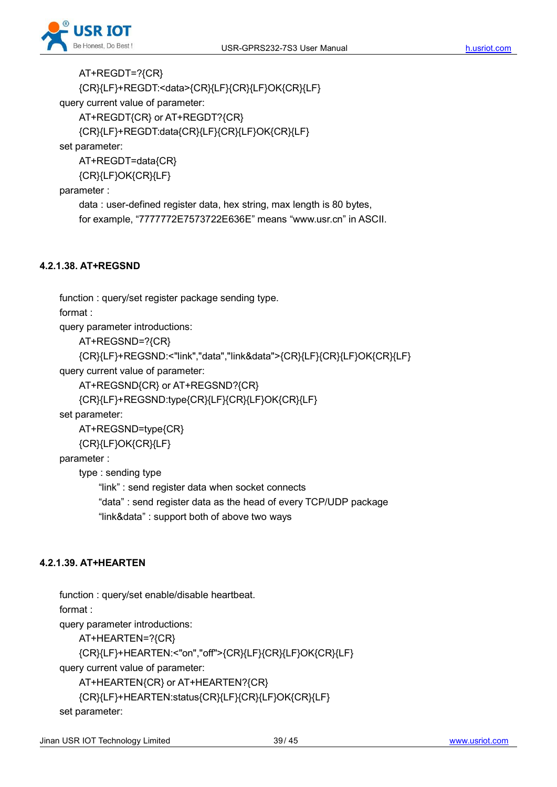

AT+REGDT=?{CR} {CR}{LF}+REGDT:<data>{CR}{LF}{CR}{LF}OK{CR}{LF} query current value of parameter: AT+REGDT{CR} or AT+REGDT?{CR} {CR}{LF}+REGDT:data{CR}{LF}{CR}{LF}OK{CR}{LF}

set parameter:

AT+REGDT=data{CR} {CR}{LF}OK{CR}{LF}

parameter :

data : user-defined register data, hex string, max length is 80 bytes,

for example, "7777772E7573722E636E" means "www.usr.cn" in ASCII.

#### **4.2.1.38. AT+REGSND**

function : query/set register package sending type.

format :

query parameter introductions:

AT+REGSND=?{CR}

```
{CR}{LF}+REGSND:<"link","data","link&data">{CR}{LF}{CR}{LF}OK{CR}{LF}
```
query current value of parameter:

```
AT+REGSND{CR} or AT+REGSND?{CR}
```

```
{CR}{LF}+REGSND:type{CR}{LF}{CR}{LF}OK{CR}{LF}
```
set parameter:

AT+REGSND=type{CR}

{CR}{LF}OK{CR}{LF}

parameter :

type : sending type

"link" : send register data when socket connects "data" : send register data as the head of every TCP/UDP package "link&data" : support both of above two ways

#### **4.2.1.39. AT+HEARTEN**

function : query/set enable/disable heartbeat.

format :

query parameter introductions:

AT+HEARTEN=?{CR}

{CR}{LF}+HEARTEN:<"on","off">{CR}{LF}{CR}{LF}OK{CR}{LF}

query current value of parameter:

AT+HEARTEN{CR} or AT+HEARTEN?{CR}

```
{CR}{LF}+HEARTEN:status{CR}{LF}{CR}{LF}OK{CR}{LF}
```
set parameter: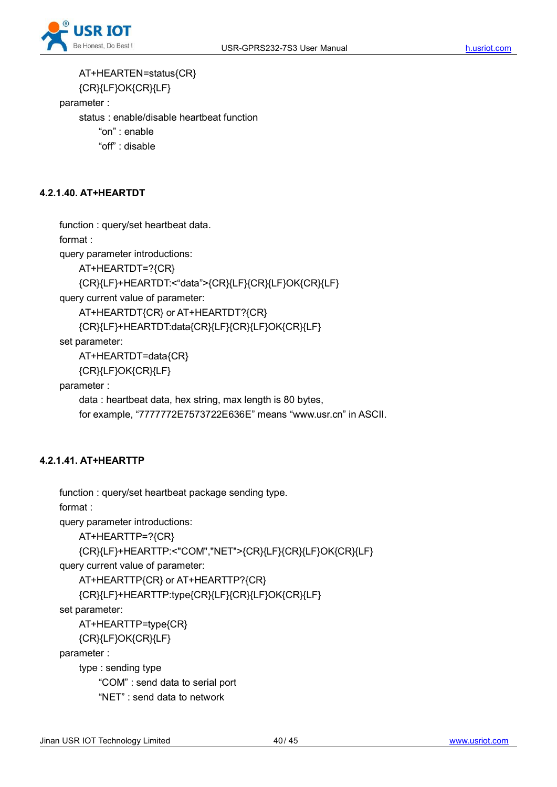

AT+HEARTEN=status{CR} {CR}{LF}OK{CR}{LF} parameter : status : enable/disable heartbeat function "on" : enable "off" : disable

## **4.2.1.40. AT+HEARTDT**

function : query/set heartbeat data.

format :

query parameter introductions:

AT+HEARTDT=?{CR}

```
{CR}{LF}+HEARTDT:<"data">{CR}{LF}{CR}{LF}OK{CR}{LF}
```
query current value of parameter:

AT+HEARTDT{CR} or AT+HEARTDT?{CR}

{CR}{LF}+HEARTDT:data{CR}{LF}{CR}{LF}OK{CR}{LF}

set parameter:

AT+HEARTDT=data{CR}

{CR}{LF}OK{CR}{LF}

parameter :

data : heartbeat data, hex string, max length is 80 bytes,

for example, "7777772E7573722E636E" means "www.usr.cn" in ASCII.

#### **4.2.1.41. AT+HEARTTP**

```
function : query/set heartbeat package sending type.
format :
query parameter introductions:
    AT+HEARTTP=?{CR}
    {CR}{LF}+HEARTTP:<"COM","NET">{CR}{LF}{CR}{LF}OK{CR}{LF}
query current value of parameter:
    AT+HEARTTP{CR} or AT+HEARTTP?{CR}
    {CR}{LF}+HEARTTP:type{CR}{LF}{CR}{LF}OK{CR}{LF}
set parameter:
    AT+HEARTTP=type{CR}
    {CR}{LF}OK{CR}{LF}
parameter :
    type : sending type
        "COM" : send data to serial port "NET" : send data to network
```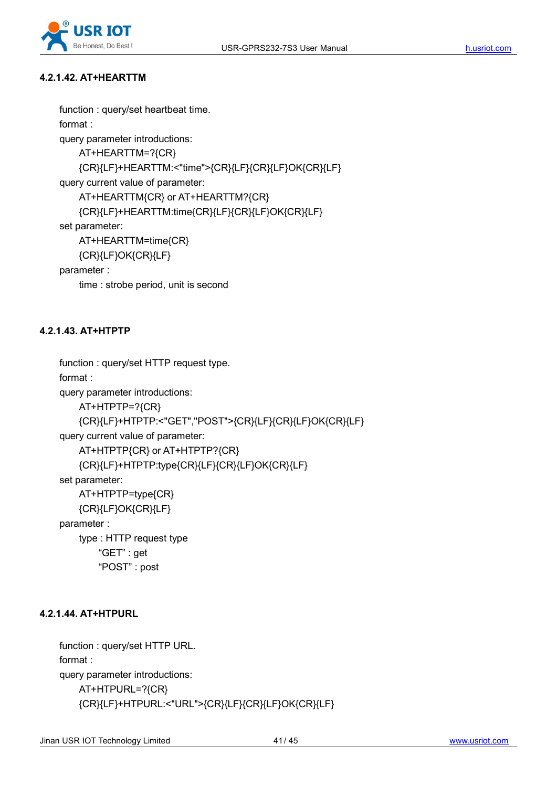

#### **4.2.1.42. AT+HEARTTM**

```
function : query/set heartbeat time.
format :
query parameter introductions:
    AT+HEARTTM=?{CR}
    {CR}{LF}+HEARTTM:<"time">{CR}{LF}{CR}{LF}OK{CR}{LF}
query current value of parameter:
    AT+HEARTTM{CR} or AT+HEARTTM?{CR}
    {CR}{LF}+HEARTTM:time{CR}{LF}{CR}{LF}OK{CR}{LF}
set parameter:
    AT+HEARTTM=time{CR}
    {CR}{LF}OK{CR}{LF}
parameter :
    time : strobe period, unit is second
```
#### **4.2.1.43. AT+HTPTP**

```
function : query/set HTTP request type.
format :
query parameter introductions:
   AT+HTPTP=?{CR}
   {CR}{LF}+HTPTP:<"GET","POST">{CR}{LF}{CR}{LF}OK{CR}{LF}
query current value of parameter:
   AT+HTPTP{CR} or AT+HTPTP?{CR}
   {CR}{LF}+HTPTP:type{CR}{LF}{CR}{LF}OK{CR}{LF}
set parameter:
   AT+HTPTP=type{CR}
   {CR}{LF}OK{CR}{LF}
parameter :
   type : HTTP request type
        "GET" : get "POST" : post
```
#### **4.2.1.44. AT+HTPURL**

function : query/set HTTP URL. format : query parameter introductions: AT+HTPURL=?{CR} {CR}{LF}+HTPURL:<"URL">{CR}{LF}{CR}{LF}OK{CR}{LF}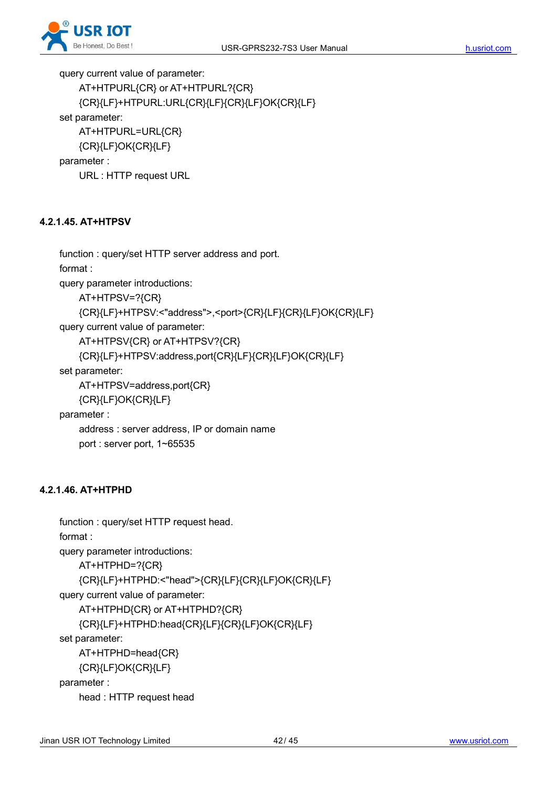

query current value of parameter:

```
AT+HTPURL{CR} or AT+HTPURL?{CR}
   {CR}{LF}+HTPURL:URL{CR}{LF}{CR}{LF}OK{CR}{LF}
set parameter:
   AT+HTPURL=URL{CR}
   {CR}{LF}OK{CR}{LF}
parameter :
```
URL : HTTP request URL

#### **4.2.1.45. AT+HTPSV**

```
function : query/set HTTP server address and port.
format :
query parameter introductions:
    AT+HTPSV=?{CR}
    {CR}{LF}+HTPSV:<"address">,<port>{CR}{LF}{CR}{LF}OK{CR}{LF}
query current value of parameter:
    AT+HTPSV{CR} or AT+HTPSV?{CR}
    {CR}{LF}+HTPSV:address,port{CR}{LF}{CR}{LF}OK{CR}{LF}
set parameter:
    AT+HTPSV=address,port{CR}
    {CR}{LF}OK{CR}{LF}
parameter :
    address : server address, IP or domain name
    port : server port, 1~65535
```
#### **4.2.1.46. AT+HTPHD**

```
function : query/set HTTP request head.
format :
query parameter introductions:
    AT+HTPHD=?{CR}
    {CR}{LF}+HTPHD:<"head">{CR}{LF}{CR}{LF}OK{CR}{LF}
query current value of parameter:
    AT+HTPHD{CR} or AT+HTPHD?{CR}
    {CR}{LF}+HTPHD:head{CR}{LF}{CR}{LF}OK{CR}{LF}
set parameter:
    AT+HTPHD=head{CR}
    {CR}{LF}OK{CR}{LF}
parameter :
```
head : HTTP request head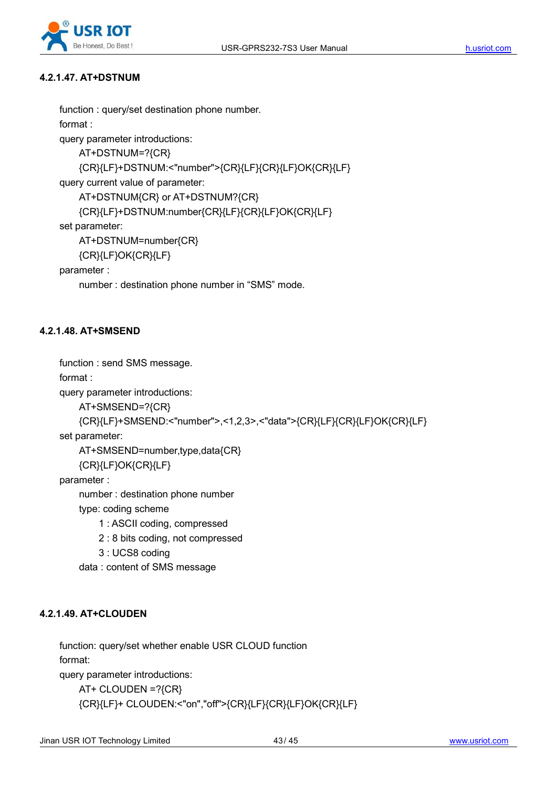

#### **4.2.1.47. AT+DSTNUM**

```
function : query/set destination phone number.
    format :
    query parameter introductions:
        AT+DSTNUM=?{CR}
        {CR}{LF}+DSTNUM:<"number">{CR}{LF}{CR}{LF}OK{CR}{LF}
    query current value of parameter:
        AT+DSTNUM{CR} or AT+DSTNUM?{CR}
        {CR}{LF}+DSTNUM:number{CR}{LF}{CR}{LF}OK{CR}{LF}
    set parameter:
        AT+DSTNUM=number{CR}
        {CR}{LF}OK{CR}{LF}
    parameter :
        number : destination phone number in "SMS" mode. 4.2.1.48. AT+SMSEND
```

```
function : send SMS message.
    format :
    query parameter introductions:
        AT+SMSEND=?{CR}
        {CR}{LF}+SMSEND:<"number">,<1,2,3>,<"data">{CR}{LF}{CR}{LF}OK{CR}{LF}
    set parameter:
        AT+SMSEND=number,type,data{CR}
        {CR}{LF}OK{CR}{LF}
    parameter :
        number : destination phone number
        type: coding scheme
            1 : ASCII coding, compressed
            2 : 8 bits coding, not compressed
            3 : UCS8 coding
        data : content of SMS message
4.2.1.49. AT+CLOUDEN
```
function: query/set whether enable USR CLOUD function format: query parameter introductions: AT+ CLOUDEN =?{CR} {CR}{LF}+ CLOUDEN:<"on","off">{CR}{LF}{CR}{LF}OK{CR}{LF}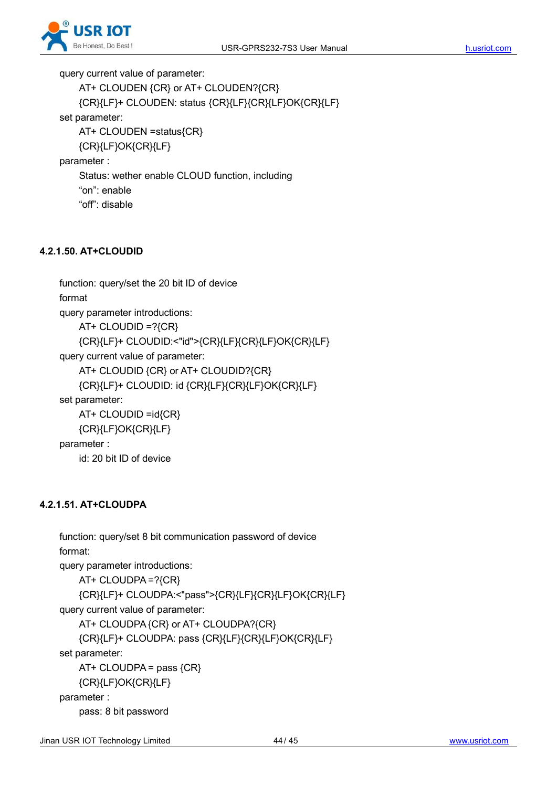

query current value of parameter:

```
AT+ CLOUDEN {CR} or AT+ CLOUDEN?{CR}
   {CR}{LF}+ CLOUDEN: status {CR}{LF}{CR}{LF}OK{CR}{LF}
set parameter:
   AT+ CLOUDEN =status{CR}
   {CR}{LF}OK{CR}{LF}
parameter :
    Status: wether enable CLOUD function, including
    "on": enable
```
## "off": disable

#### **4.2.1.50. AT+CLOUDID**

```
function: query/set the 20 bit ID of device
format
query parameter introductions:
    AT+ CLOUDID = ?\{CR\}{CR}{LF}+ CLOUDID:<"id">{CR}{LF}{CR}{LF}OK{CR}{LF}
query current value of parameter:
    AT+ CLOUDID {CR} or AT+ CLOUDID?{CR}
    {CR}{LF}+ CLOUDID: id {CR}{LF}{CR}{LF}OK{CR}{LF}
set parameter:
    AT+ CLOUDID =id{CR}
    {CR}{LF}OK{CR}{LF}
parameter :
    id: 20 bit ID of device
```
#### **4.2.1.51. AT+CLOUDPA**

```
function: query/set 8 bit communication password of device
format:
query parameter introductions:
   AT+ CLOUDPA =?{CR}
   {CR}{LF}+ CLOUDPA:<"pass">{CR}{LF}{CR}{LF}OK{CR}{LF}
query current value of parameter:
   AT+ CLOUDPA {CR} or AT+ CLOUDPA?{CR}
   {CR}{LF}+ CLOUDPA: pass {CR}{LF}{CR}{LF}OK{CR}{LF}
set parameter:
   AT+ CLOUDPA = pass {CR}{CR}{LF}OK{CR}{LF}
parameter :
   pass: 8 bit password
```